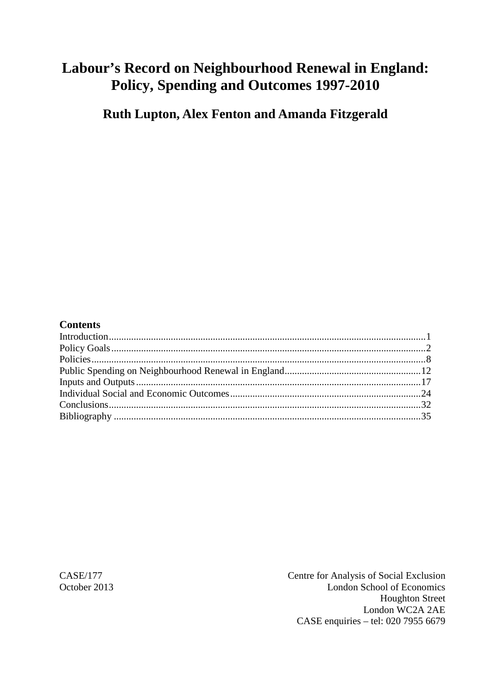# **Labour's Record on Neighbourhood Renewal in England: Policy, Spending and Outcomes 1997-2010**

**Ruth Lupton, Alex Fenton and Amanda Fitzgerald**

## **Contents**

CASE/177 Centre for Analysis of Social Exclusion October 2013 London School of Economics Houghton Street London WC2A 2AE CASE enquiries – tel: 020 7955 6679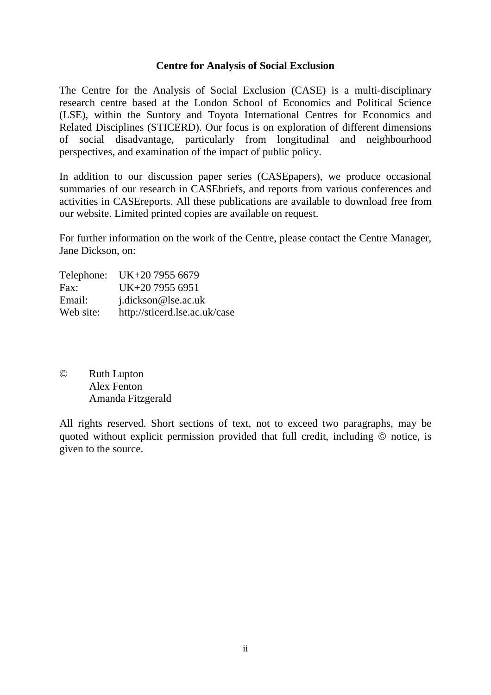## **Centre for Analysis of Social Exclusion**

The Centre for the Analysis of Social Exclusion (CASE) is a multi*-*disciplinary research centre based at the London School of Economics and Political Science (LSE), within the Suntory and Toyota International Centres for Economics and Related Disciplines (STICERD). Our focus is on exploration of different dimensions of social disadvantage, particularly from longitudinal and neighbourhood perspectives, and examination of the impact of public policy.

In addition to our discussion paper series (CASEpapers), we produce occasional summaries of our research in CASEbriefs, and reports from various conferences and activities in CASEreports. All these publications are available to download free from our website. Limited printed copies are available on request.

For further information on the work of the Centre, please contact the Centre Manager, Jane Dickson, on:

|           | Telephone: UK+20 7955 6679    |
|-----------|-------------------------------|
| Fax:      | UK+20 7955 6951               |
| Email:    | j.dickson@lse.ac.uk           |
| Web site: | http://sticerd.lse.ac.uk/case |

© Ruth Lupton Alex Fenton Amanda Fitzgerald

All rights reserved. Short sections of text, not to exceed two paragraphs, may be quoted without explicit permission provided that full credit, including  $\odot$  notice, is given to the source.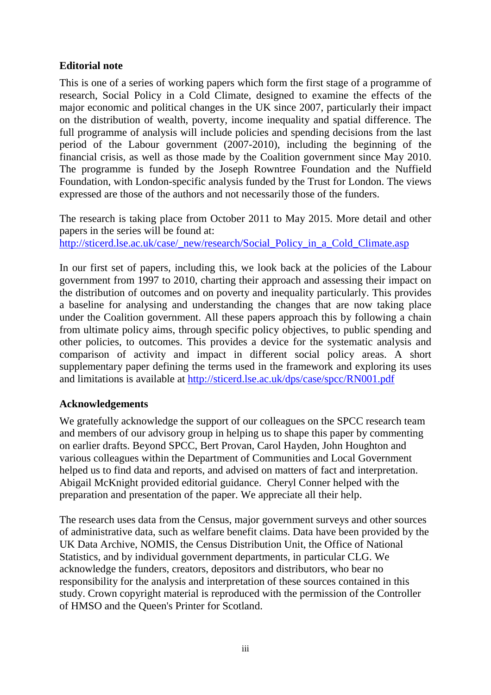# **Editorial note**

This is one of a series of working papers which form the first stage of a programme of research, Social Policy in a Cold Climate, designed to examine the effects of the major economic and political changes in the UK since 2007, particularly their impact on the distribution of wealth, poverty, income inequality and spatial difference. The full programme of analysis will include policies and spending decisions from the last period of the Labour government (2007-2010), including the beginning of the financial crisis, as well as those made by the Coalition government since May 2010. The programme is funded by the Joseph Rowntree Foundation and the Nuffield Foundation, with London-specific analysis funded by the Trust for London. The views expressed are those of the authors and not necessarily those of the funders.

The research is taking place from October 2011 to May 2015. More detail and other papers in the series will be found at:

[http://sticerd.lse.ac.uk/case/\\_new/research/Social\\_Policy\\_in\\_a\\_Cold\\_Climate.asp](http://sticerd.lse.ac.uk/case/_new/research/Social_Policy_in_a_Cold_Climate.asp)

In our first set of papers, including this, we look back at the policies of the Labour government from 1997 to 2010, charting their approach and assessing their impact on the distribution of outcomes and on poverty and inequality particularly. This provides a baseline for analysing and understanding the changes that are now taking place under the Coalition government. All these papers approach this by following a chain from ultimate policy aims, through specific policy objectives, to public spending and other policies, to outcomes. This provides a device for the systematic analysis and comparison of activity and impact in different social policy areas. A short supplementary paper defining the terms used in the framework and exploring its uses and limitations is available at<http://sticerd.lse.ac.uk/dps/case/spcc/RN001.pdf>

# **Acknowledgements**

We gratefully acknowledge the support of our colleagues on the SPCC research team and members of our advisory group in helping us to shape this paper by commenting on earlier drafts. Beyond SPCC, Bert Provan, Carol Hayden, John Houghton and various colleagues within the Department of Communities and Local Government helped us to find data and reports, and advised on matters of fact and interpretation. Abigail McKnight provided editorial guidance. Cheryl Conner helped with the preparation and presentation of the paper. We appreciate all their help.

The research uses data from the Census, major government surveys and other sources of administrative data, such as welfare benefit claims. Data have been provided by the UK Data Archive, NOMIS, the Census Distribution Unit, the Office of National Statistics, and by individual government departments, in particular CLG. We acknowledge the funders, creators, depositors and distributors, who bear no responsibility for the analysis and interpretation of these sources contained in this study. Crown copyright material is reproduced with the permission of the Controller of HMSO and the Queen's Printer for Scotland.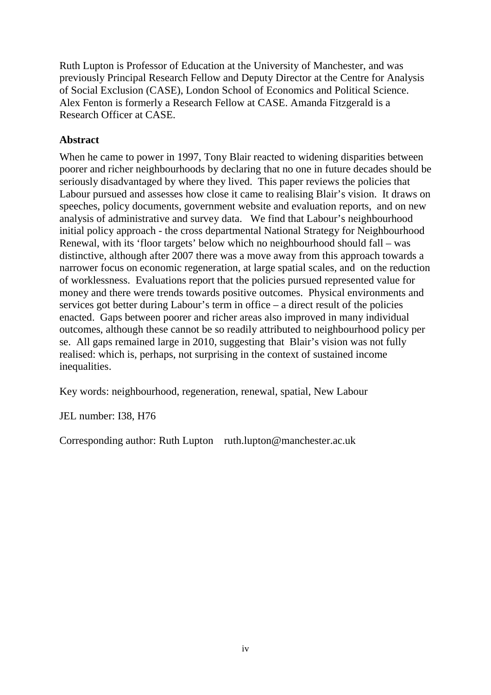Ruth Lupton is Professor of Education at the University of Manchester, and was previously Principal Research Fellow and Deputy Director at the Centre for Analysis of Social Exclusion (CASE), London School of Economics and Political Science. Alex Fenton is formerly a Research Fellow at CASE. Amanda Fitzgerald is a Research Officer at CASE.

# **Abstract**

When he came to power in 1997, Tony Blair reacted to widening disparities between poorer and richer neighbourhoods by declaring that no one in future decades should be seriously disadvantaged by where they lived. This paper reviews the policies that Labour pursued and assesses how close it came to realising Blair's vision. It draws on speeches, policy documents, government website and evaluation reports, and on new analysis of administrative and survey data. We find that Labour's neighbourhood initial policy approach - the cross departmental National Strategy for Neighbourhood Renewal, with its 'floor targets' below which no neighbourhood should fall – was distinctive, although after 2007 there was a move away from this approach towards a narrower focus on economic regeneration, at large spatial scales, and on the reduction of worklessness. Evaluations report that the policies pursued represented value for money and there were trends towards positive outcomes. Physical environments and services got better during Labour's term in office – a direct result of the policies enacted. Gaps between poorer and richer areas also improved in many individual outcomes, although these cannot be so readily attributed to neighbourhood policy per se. All gaps remained large in 2010, suggesting that Blair's vision was not fully realised: which is, perhaps, not surprising in the context of sustained income inequalities.

Key words: neighbourhood, regeneration, renewal, spatial, New Labour

JEL number: I38, H76

Corresponding author: Ruth Lupton ruth.lupton@manchester.ac.uk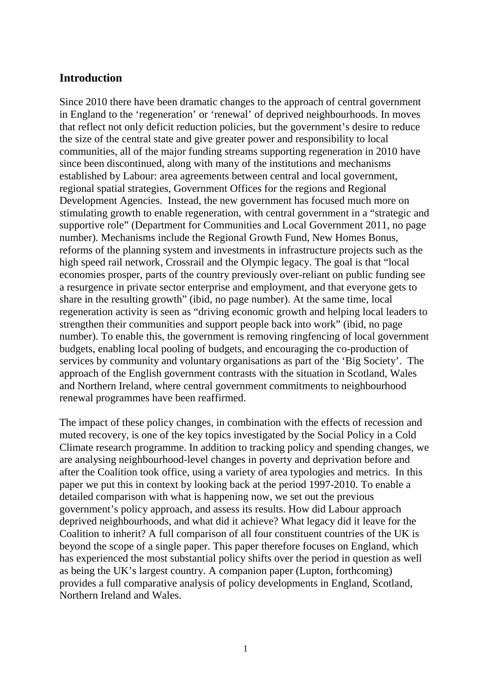# <span id="page-4-0"></span>**Introduction**

Since 2010 there have been dramatic changes to the approach of central government in England to the 'regeneration' or 'renewal' of deprived neighbourhoods. In moves that reflect not only deficit reduction policies, but the government's desire to reduce the size of the central state and give greater power and responsibility to local communities, all of the major funding streams supporting regeneration in 2010 have since been discontinued, along with many of the institutions and mechanisms established by Labour: area agreements between central and local government, regional spatial strategies, Government Offices for the regions and Regional Development Agencies. Instead, the new government has focused much more on stimulating growth to enable regeneration, with central government in a "strategic and supportive role" (Department for Communities and Local Government 2011, no page number). Mechanisms include the Regional Growth Fund, New Homes Bonus, reforms of the planning system and investments in infrastructure projects such as the high speed rail network, Crossrail and the Olympic legacy. The goal is that "local economies prosper, parts of the country previously over-reliant on public funding see a resurgence in private sector enterprise and employment, and that everyone gets to share in the resulting growth" (ibid, no page number). At the same time, local regeneration activity is seen as "driving economic growth and helping local leaders to strengthen their communities and support people back into work" (ibid, no page number). To enable this, the government is removing ringfencing of local government budgets, enabling local pooling of budgets, and encouraging the co-production of services by community and voluntary organisations as part of the 'Big Society'. The approach of the English government contrasts with the situation in Scotland, Wales and Northern Ireland, where central government commitments to neighbourhood renewal programmes have been reaffirmed.

The impact of these policy changes, in combination with the effects of recession and muted recovery, is one of the key topics investigated by the Social Policy in a Cold Climate research programme. In addition to tracking policy and spending changes, we are analysing neighbourhood-level changes in poverty and deprivation before and after the Coalition took office, using a variety of area typologies and metrics. In this paper we put this in context by looking back at the period 1997-2010. To enable a detailed comparison with what is happening now, we set out the previous government's policy approach, and assess its results. How did Labour approach deprived neighbourhoods, and what did it achieve? What legacy did it leave for the Coalition to inherit? A full comparison of all four constituent countries of the UK is beyond the scope of a single paper. This paper therefore focuses on England, which has experienced the most substantial policy shifts over the period in question as well as being the UK's largest country. A companion paper (Lupton, forthcoming) provides a full comparative analysis of policy developments in England, Scotland, Northern Ireland and Wales.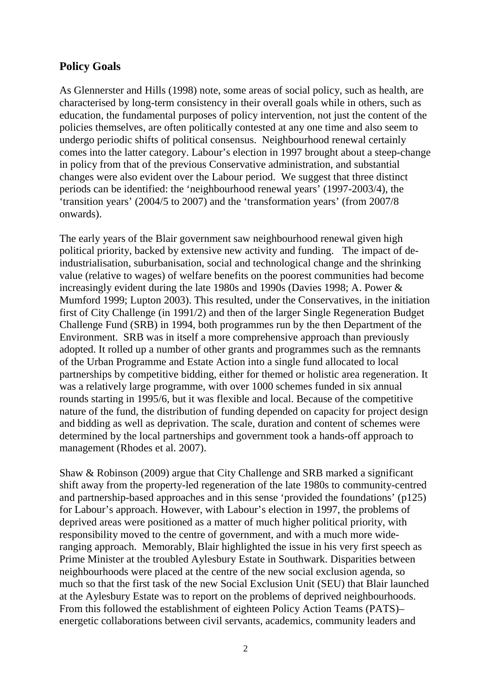# <span id="page-5-0"></span>**Policy Goals**

As Glennerster and Hills (1998) note, some areas of social policy, such as health, are characterised by long-term consistency in their overall goals while in others, such as education, the fundamental purposes of policy intervention, not just the content of the policies themselves, are often politically contested at any one time and also seem to undergo periodic shifts of political consensus. Neighbourhood renewal certainly comes into the latter category. Labour's election in 1997 brought about a steep-change in policy from that of the previous Conservative administration, and substantial changes were also evident over the Labour period. We suggest that three distinct periods can be identified: the 'neighbourhood renewal years' (1997-2003/4), the 'transition years' (2004/5 to 2007) and the 'transformation years' (from 2007/8 onwards).

The early years of the Blair government saw neighbourhood renewal given high political priority, backed by extensive new activity and funding. The impact of deindustrialisation, suburbanisation, social and technological change and the shrinking value (relative to wages) of welfare benefits on the poorest communities had become increasingly evident during the late 1980s and 1990s (Davies 1998; A. Power & Mumford 1999; Lupton 2003). This resulted, under the Conservatives, in the initiation first of City Challenge (in 1991/2) and then of the larger Single Regeneration Budget Challenge Fund (SRB) in 1994, both programmes run by the then Department of the Environment. SRB was in itself a more comprehensive approach than previously adopted. It rolled up a number of other grants and programmes such as the remnants of the Urban Programme and Estate Action into a single fund allocated to local partnerships by competitive bidding, either for themed or holistic area regeneration. It was a relatively large programme, with over 1000 schemes funded in six annual rounds starting in 1995/6, but it was flexible and local. Because of the competitive nature of the fund, the distribution of funding depended on capacity for project design and bidding as well as deprivation. The scale, duration and content of schemes were determined by the local partnerships and government took a hands-off approach to management (Rhodes et al. 2007).

Shaw & Robinson (2009) argue that City Challenge and SRB marked a significant shift away from the property-led regeneration of the late 1980s to community-centred and partnership-based approaches and in this sense 'provided the foundations' (p125) for Labour's approach. However, with Labour's election in 1997, the problems of deprived areas were positioned as a matter of much higher political priority, with responsibility moved to the centre of government, and with a much more wideranging approach. Memorably, Blair highlighted the issue in his very first speech as Prime Minister at the troubled Aylesbury Estate in Southwark. Disparities between neighbourhoods were placed at the centre of the new social exclusion agenda, so much so that the first task of the new Social Exclusion Unit (SEU) that Blair launched at the Aylesbury Estate was to report on the problems of deprived neighbourhoods. From this followed the establishment of eighteen Policy Action Teams (PATS)– energetic collaborations between civil servants, academics, community leaders and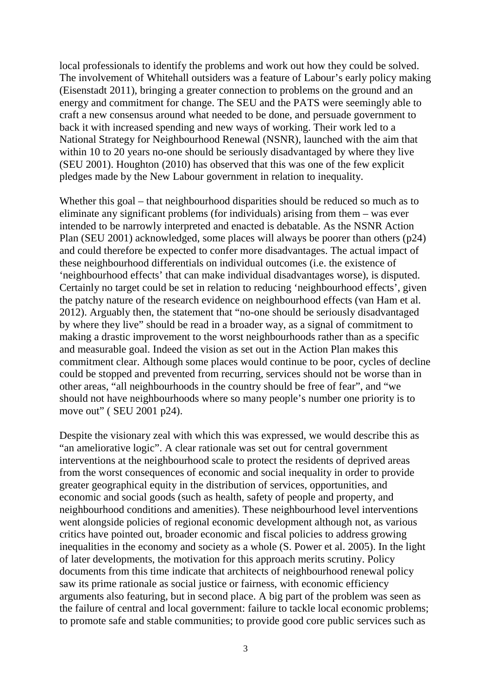local professionals to identify the problems and work out how they could be solved. The involvement of Whitehall outsiders was a feature of Labour's early policy making (Eisenstadt 2011), bringing a greater connection to problems on the ground and an energy and commitment for change. The SEU and the PATS were seemingly able to craft a new consensus around what needed to be done, and persuade government to back it with increased spending and new ways of working. Their work led to a National Strategy for Neighbourhood Renewal (NSNR), launched with the aim that within 10 to 20 years no-one should be seriously disadvantaged by where they live (SEU 2001). Houghton (2010) has observed that this was one of the few explicit pledges made by the New Labour government in relation to inequality.

Whether this goal – that neighbourhood disparities should be reduced so much as to eliminate any significant problems (for individuals) arising from them – was ever intended to be narrowly interpreted and enacted is debatable. As the NSNR Action Plan (SEU 2001) acknowledged, some places will always be poorer than others (p24) and could therefore be expected to confer more disadvantages. The actual impact of these neighbourhood differentials on individual outcomes (i.e. the existence of 'neighbourhood effects' that can make individual disadvantages worse), is disputed. Certainly no target could be set in relation to reducing 'neighbourhood effects', given the patchy nature of the research evidence on neighbourhood effects (van Ham et al. 2012). Arguably then, the statement that "no-one should be seriously disadvantaged by where they live" should be read in a broader way, as a signal of commitment to making a drastic improvement to the worst neighbourhoods rather than as a specific and measurable goal. Indeed the vision as set out in the Action Plan makes this commitment clear. Although some places would continue to be poor, cycles of decline could be stopped and prevented from recurring, services should not be worse than in other areas, "all neighbourhoods in the country should be free of fear", and "we should not have neighbourhoods where so many people's number one priority is to move out" ( SEU 2001 p24).

Despite the visionary zeal with which this was expressed, we would describe this as "an ameliorative logic". A clear rationale was set out for central government interventions at the neighbourhood scale to protect the residents of deprived areas from the worst consequences of economic and social inequality in order to provide greater geographical equity in the distribution of services, opportunities, and economic and social goods (such as health, safety of people and property, and neighbourhood conditions and amenities). These neighbourhood level interventions went alongside policies of regional economic development although not, as various critics have pointed out, broader economic and fiscal policies to address growing inequalities in the economy and society as a whole (S. Power et al. 2005). In the light of later developments, the motivation for this approach merits scrutiny. Policy documents from this time indicate that architects of neighbourhood renewal policy saw its prime rationale as social justice or fairness, with economic efficiency arguments also featuring, but in second place. A big part of the problem was seen as the failure of central and local government: failure to tackle local economic problems; to promote safe and stable communities; to provide good core public services such as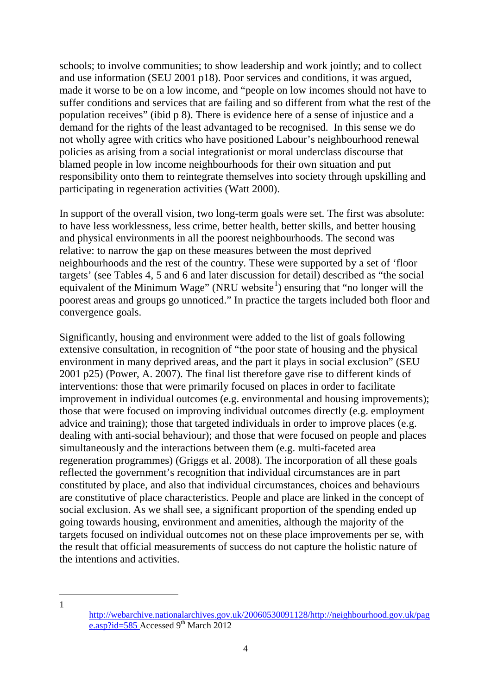schools; to involve communities; to show leadership and work jointly; and to collect and use information (SEU 2001 p18). Poor services and conditions, it was argued, made it worse to be on a low income, and "people on low incomes should not have to suffer conditions and services that are failing and so different from what the rest of the population receives" (ibid p 8). There is evidence here of a sense of injustice and a demand for the rights of the least advantaged to be recognised. In this sense we do not wholly agree with critics who have positioned Labour's neighbourhood renewal policies as arising from a social integrationist or moral underclass discourse that blamed people in low income neighbourhoods for their own situation and put responsibility onto them to reintegrate themselves into society through upskilling and participating in regeneration activities (Watt 2000).

In support of the overall vision, two long-term goals were set. The first was absolute: to have less worklessness, less crime, better health, better skills, and better housing and physical environments in all the poorest neighbourhoods. The second was relative: to narrow the gap on these measures between the most deprived neighbourhoods and the rest of the country. These were supported by a set of 'floor targets' (see Tables 4, 5 and 6 and later discussion for detail) described as "the social equivalent of the Minimum Wage" (NRU website $\textsuperscript{1}$  $\textsuperscript{1}$  $\textsuperscript{1}$ ) ensuring that "no longer will the poorest areas and groups go unnoticed." In practice the targets included both floor and convergence goals.

Significantly, housing and environment were added to the list of goals following extensive consultation, in recognition of "the poor state of housing and the physical environment in many deprived areas, and the part it plays in social exclusion" (SEU 2001 p25) (Power, A. 2007). The final list therefore gave rise to different kinds of interventions: those that were primarily focused on places in order to facilitate improvement in individual outcomes (e.g. environmental and housing improvements); those that were focused on improving individual outcomes directly (e.g. employment advice and training); those that targeted individuals in order to improve places (e.g. dealing with anti-social behaviour); and those that were focused on people and places simultaneously and the interactions between them (e.g. multi-faceted area regeneration programmes) (Griggs et al. 2008). The incorporation of all these goals reflected the government's recognition that individual circumstances are in part constituted by place, and also that individual circumstances, choices and behaviours are constitutive of place characteristics. People and place are linked in the concept of social exclusion. As we shall see, a significant proportion of the spending ended up going towards housing, environment and amenities, although the majority of the targets focused on individual outcomes not on these place improvements per se, with the result that official measurements of success do not capture the holistic nature of the intentions and activities.

<span id="page-7-0"></span>1

 $\overline{a}$ 

[http://webarchive.nationalarchives.gov.uk/20060530091128/http://neighbourhood.gov.uk/pag](http://webarchive.nationalarchives.gov.uk/20060530091128/http:/neighbourhood.gov.uk/page.asp?id=585) [e.asp?id=585](http://webarchive.nationalarchives.gov.uk/20060530091128/http:/neighbourhood.gov.uk/page.asp?id=585) Accessed  $9<sup>th</sup>$  March 2012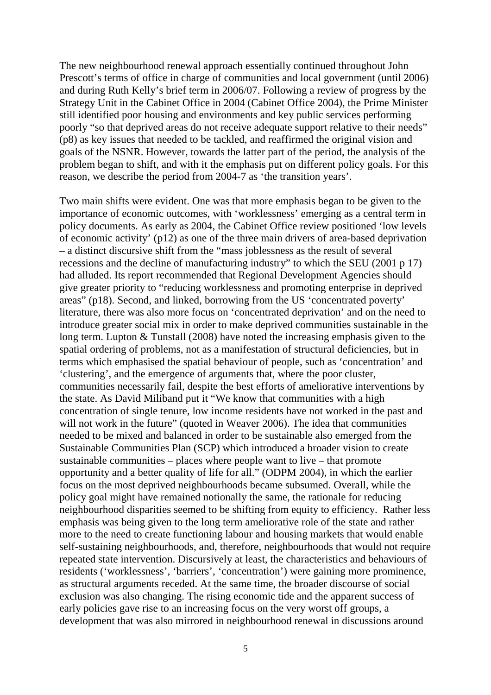The new neighbourhood renewal approach essentially continued throughout John Prescott's terms of office in charge of communities and local government (until 2006) and during Ruth Kelly's brief term in 2006/07. Following a review of progress by the Strategy Unit in the Cabinet Office in 2004 (Cabinet Office 2004), the Prime Minister still identified poor housing and environments and key public services performing poorly "so that deprived areas do not receive adequate support relative to their needs" (p8) as key issues that needed to be tackled, and reaffirmed the original vision and goals of the NSNR. However, towards the latter part of the period, the analysis of the problem began to shift, and with it the emphasis put on different policy goals. For this reason, we describe the period from 2004-7 as 'the transition years'.

Two main shifts were evident. One was that more emphasis began to be given to the importance of economic outcomes, with 'worklessness' emerging as a central term in policy documents. As early as 2004, the Cabinet Office review positioned 'low levels of economic activity' (p12) as one of the three main drivers of area-based deprivation – a distinct discursive shift from the "mass joblessness as the result of several recessions and the decline of manufacturing industry" to which the SEU (2001 p 17) had alluded. Its report recommended that Regional Development Agencies should give greater priority to "reducing worklessness and promoting enterprise in deprived areas" (p18). Second, and linked, borrowing from the US 'concentrated poverty' literature, there was also more focus on 'concentrated deprivation' and on the need to introduce greater social mix in order to make deprived communities sustainable in the long term. Lupton & Tunstall (2008) have noted the increasing emphasis given to the spatial ordering of problems, not as a manifestation of structural deficiencies, but in terms which emphasised the spatial behaviour of people, such as 'concentration' and 'clustering', and the emergence of arguments that, where the poor cluster, communities necessarily fail, despite the best efforts of ameliorative interventions by the state. As David Miliband put it "We know that communities with a high concentration of single tenure, low income residents have not worked in the past and will not work in the future" (quoted in Weaver 2006). The idea that communities needed to be mixed and balanced in order to be sustainable also emerged from the Sustainable Communities Plan (SCP) which introduced a broader vision to create sustainable communities – places where people want to live – that promote opportunity and a better quality of life for all." (ODPM 2004), in which the earlier focus on the most deprived neighbourhoods became subsumed. Overall, while the policy goal might have remained notionally the same, the rationale for reducing neighbourhood disparities seemed to be shifting from equity to efficiency. Rather less emphasis was being given to the long term ameliorative role of the state and rather more to the need to create functioning labour and housing markets that would enable self-sustaining neighbourhoods, and, therefore, neighbourhoods that would not require repeated state intervention. Discursively at least, the characteristics and behaviours of residents ('worklessness', 'barriers', 'concentration') were gaining more prominence, as structural arguments receded. At the same time, the broader discourse of social exclusion was also changing. The rising economic tide and the apparent success of early policies gave rise to an increasing focus on the very worst off groups, a development that was also mirrored in neighbourhood renewal in discussions around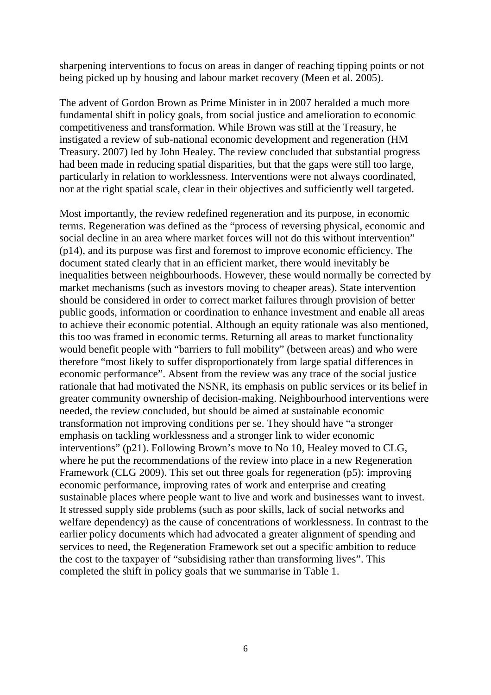sharpening interventions to focus on areas in danger of reaching tipping points or not being picked up by housing and labour market recovery (Meen et al. 2005).

The advent of Gordon Brown as Prime Minister in in 2007 heralded a much more fundamental shift in policy goals, from social justice and amelioration to economic competitiveness and transformation. While Brown was still at the Treasury, he instigated a review of sub-national economic development and regeneration (HM Treasury. 2007) led by John Healey. The review concluded that substantial progress had been made in reducing spatial disparities, but that the gaps were still too large, particularly in relation to worklessness. Interventions were not always coordinated, nor at the right spatial scale, clear in their objectives and sufficiently well targeted.

Most importantly, the review redefined regeneration and its purpose, in economic terms. Regeneration was defined as the "process of reversing physical, economic and social decline in an area where market forces will not do this without intervention" (p14), and its purpose was first and foremost to improve economic efficiency. The document stated clearly that in an efficient market, there would inevitably be inequalities between neighbourhoods. However, these would normally be corrected by market mechanisms (such as investors moving to cheaper areas). State intervention should be considered in order to correct market failures through provision of better public goods, information or coordination to enhance investment and enable all areas to achieve their economic potential. Although an equity rationale was also mentioned, this too was framed in economic terms. Returning all areas to market functionality would benefit people with "barriers to full mobility" (between areas) and who were therefore "most likely to suffer disproportionately from large spatial differences in economic performance". Absent from the review was any trace of the social justice rationale that had motivated the NSNR, its emphasis on public services or its belief in greater community ownership of decision-making. Neighbourhood interventions were needed, the review concluded, but should be aimed at sustainable economic transformation not improving conditions per se. They should have "a stronger emphasis on tackling worklessness and a stronger link to wider economic interventions" (p21). Following Brown's move to No 10, Healey moved to CLG, where he put the recommendations of the review into place in a new Regeneration Framework (CLG 2009). This set out three goals for regeneration (p5): improving economic performance, improving rates of work and enterprise and creating sustainable places where people want to live and work and businesses want to invest. It stressed supply side problems (such as poor skills, lack of social networks and welfare dependency) as the cause of concentrations of worklessness. In contrast to the earlier policy documents which had advocated a greater alignment of spending and services to need, the Regeneration Framework set out a specific ambition to reduce the cost to the taxpayer of "subsidising rather than transforming lives". This completed the shift in policy goals that we summarise in Table 1.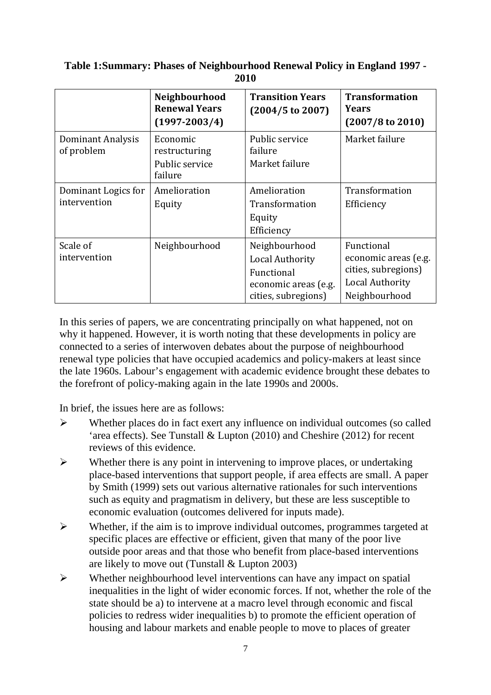|                                     | Neighbourhood<br><b>Renewal Years</b><br>$(1997 - 2003/4)$ | <b>Transition Years</b><br>$(2004/5 \text{ to } 2007)$                                               | <b>Transformation</b><br><b>Years</b><br>$(2007/8 \text{ to } 2010)$                                 |
|-------------------------------------|------------------------------------------------------------|------------------------------------------------------------------------------------------------------|------------------------------------------------------------------------------------------------------|
| Dominant Analysis<br>of problem     | Economic<br>restructuring<br>Public service<br>failure     | Public service<br>failure<br>Market failure                                                          | Market failure                                                                                       |
| Dominant Logics for<br>intervention | Amelioration<br>Equity                                     | Amelioration<br>Transformation<br>Equity<br>Efficiency                                               | Transformation<br>Efficiency                                                                         |
| Scale of<br>intervention            | Neighbourhood                                              | Neighbourhood<br><b>Local Authority</b><br>Functional<br>economic areas (e.g.<br>cities, subregions) | Functional<br>economic areas (e.g.<br>cities, subregions)<br><b>Local Authority</b><br>Neighbourhood |

# **Table 1:Summary: Phases of Neighbourhood Renewal Policy in England 1997 - 2010**

In this series of papers, we are concentrating principally on what happened, not on why it happened. However, it is worth noting that these developments in policy are connected to a series of interwoven debates about the purpose of neighbourhood renewal type policies that have occupied academics and policy-makers at least since the late 1960s. Labour's engagement with academic evidence brought these debates to the forefront of policy-making again in the late 1990s and 2000s.

In brief, the issues here are as follows:

- $\triangleright$  Whether places do in fact exert any influence on individual outcomes (so called 'area effects). See Tunstall & Lupton (2010) and Cheshire (2012) for recent reviews of this evidence.
- $\triangleright$  Whether there is any point in intervening to improve places, or undertaking place-based interventions that support people, if area effects are small. A paper by Smith (1999) sets out various alternative rationales for such interventions such as equity and pragmatism in delivery, but these are less susceptible to economic evaluation (outcomes delivered for inputs made).
- $\triangleright$  Whether, if the aim is to improve individual outcomes, programmes targeted at specific places are effective or efficient, given that many of the poor live outside poor areas and that those who benefit from place-based interventions are likely to move out (Tunstall & Lupton 2003)
- $\triangleright$  Whether neighbourhood level interventions can have any impact on spatial inequalities in the light of wider economic forces. If not, whether the role of the state should be a) to intervene at a macro level through economic and fiscal policies to redress wider inequalities b) to promote the efficient operation of housing and labour markets and enable people to move to places of greater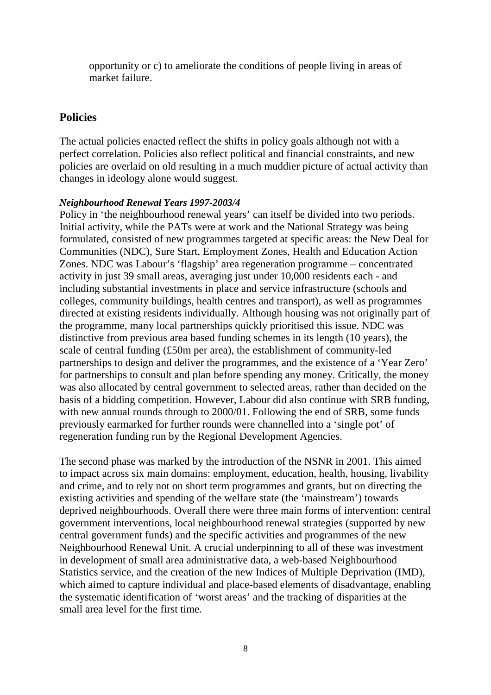opportunity or c) to ameliorate the conditions of people living in areas of market failure.

# <span id="page-11-0"></span>**Policies**

The actual policies enacted reflect the shifts in policy goals although not with a perfect correlation. Policies also reflect political and financial constraints, and new policies are overlaid on old resulting in a much muddier picture of actual activity than changes in ideology alone would suggest.

## *Neighbourhood Renewal Years 1997-2003/4*

Policy in 'the neighbourhood renewal years' can itself be divided into two periods. Initial activity, while the PATs were at work and the National Strategy was being formulated, consisted of new programmes targeted at specific areas: the New Deal for Communities (NDC), Sure Start, Employment Zones, Health and Education Action Zones. NDC was Labour's 'flagship' area regeneration programme – concentrated activity in just 39 small areas, averaging just under 10,000 residents each - and including substantial investments in place and service infrastructure (schools and colleges, community buildings, health centres and transport), as well as programmes directed at existing residents individually. Although housing was not originally part of the programme, many local partnerships quickly prioritised this issue. NDC was distinctive from previous area based funding schemes in its length (10 years), the scale of central funding (£50m per area), the establishment of community-led partnerships to design and deliver the programmes, and the existence of a 'Year Zero' for partnerships to consult and plan before spending any money. Critically, the money was also allocated by central government to selected areas, rather than decided on the basis of a bidding competition. However, Labour did also continue with SRB funding, with new annual rounds through to 2000/01. Following the end of SRB, some funds previously earmarked for further rounds were channelled into a 'single pot' of regeneration funding run by the Regional Development Agencies.

The second phase was marked by the introduction of the NSNR in 2001. This aimed to impact across six main domains: employment, education, health, housing, livability and crime, and to rely not on short term programmes and grants, but on directing the existing activities and spending of the welfare state (the 'mainstream') towards deprived neighbourhoods. Overall there were three main forms of intervention: central government interventions, local neighbourhood renewal strategies (supported by new central government funds) and the specific activities and programmes of the new Neighbourhood Renewal Unit. A crucial underpinning to all of these was investment in development of small area administrative data, a web-based Neighbourhood Statistics service, and the creation of the new Indices of Multiple Deprivation (IMD), which aimed to capture individual and place-based elements of disadvantage, enabling the systematic identification of 'worst areas' and the tracking of disparities at the small area level for the first time.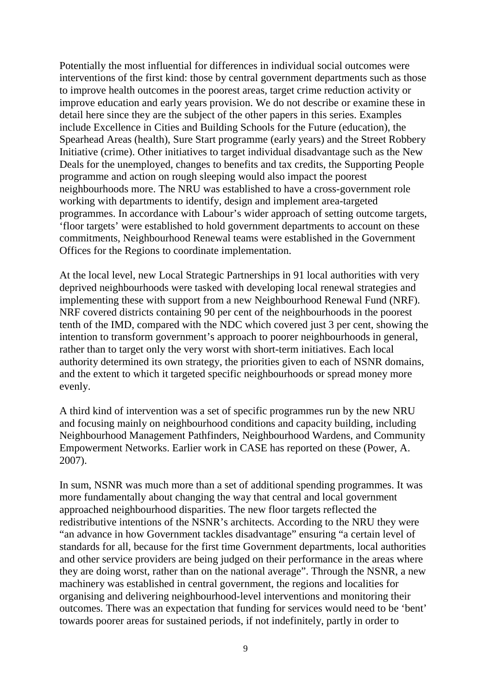Potentially the most influential for differences in individual social outcomes were interventions of the first kind: those by central government departments such as those to improve health outcomes in the poorest areas, target crime reduction activity or improve education and early years provision. We do not describe or examine these in detail here since they are the subject of the other papers in this series. Examples include Excellence in Cities and Building Schools for the Future (education), the Spearhead Areas (health), Sure Start programme (early years) and the Street Robbery Initiative (crime). Other initiatives to target individual disadvantage such as the New Deals for the unemployed, changes to benefits and tax credits, the Supporting People programme and action on rough sleeping would also impact the poorest neighbourhoods more. The NRU was established to have a cross-government role working with departments to identify, design and implement area-targeted programmes. In accordance with Labour's wider approach of setting outcome targets, 'floor targets' were established to hold government departments to account on these commitments, Neighbourhood Renewal teams were established in the Government Offices for the Regions to coordinate implementation.

At the local level, new Local Strategic Partnerships in 91 local authorities with very deprived neighbourhoods were tasked with developing local renewal strategies and implementing these with support from a new Neighbourhood Renewal Fund (NRF). NRF covered districts containing 90 per cent of the neighbourhoods in the poorest tenth of the IMD, compared with the NDC which covered just 3 per cent, showing the intention to transform government's approach to poorer neighbourhoods in general, rather than to target only the very worst with short-term initiatives. Each local authority determined its own strategy, the priorities given to each of NSNR domains, and the extent to which it targeted specific neighbourhoods or spread money more evenly.

A third kind of intervention was a set of specific programmes run by the new NRU and focusing mainly on neighbourhood conditions and capacity building, including Neighbourhood Management Pathfinders, Neighbourhood Wardens, and Community Empowerment Networks. Earlier work in CASE has reported on these (Power, A. 2007).

In sum, NSNR was much more than a set of additional spending programmes. It was more fundamentally about changing the way that central and local government approached neighbourhood disparities. The new floor targets reflected the redistributive intentions of the NSNR's architects. According to the NRU they were "an advance in how Government tackles disadvantage" ensuring "a certain level of standards for all, because for the first time Government departments, local authorities and other service providers are being judged on their performance in the areas where they are doing worst, rather than on the national average". Through the NSNR, a new machinery was established in central government, the regions and localities for organising and delivering neighbourhood-level interventions and monitoring their outcomes. There was an expectation that funding for services would need to be 'bent' towards poorer areas for sustained periods, if not indefinitely, partly in order to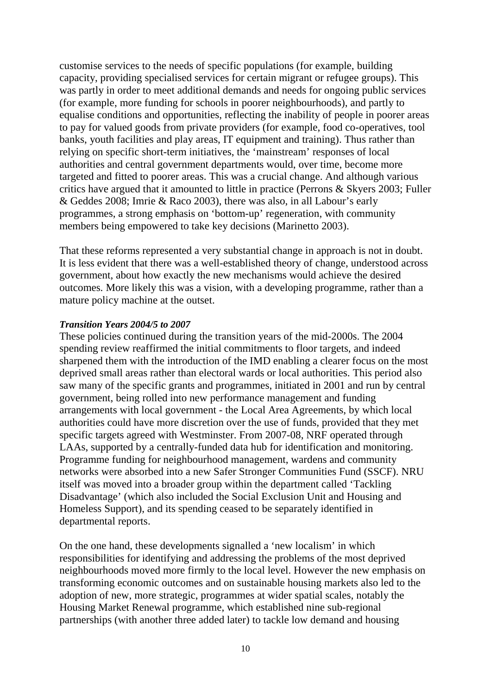customise services to the needs of specific populations (for example, building capacity, providing specialised services for certain migrant or refugee groups). This was partly in order to meet additional demands and needs for ongoing public services (for example, more funding for schools in poorer neighbourhoods), and partly to equalise conditions and opportunities, reflecting the inability of people in poorer areas to pay for valued goods from private providers (for example, food co-operatives, tool banks, youth facilities and play areas, IT equipment and training). Thus rather than relying on specific short-term initiatives, the 'mainstream' responses of local authorities and central government departments would, over time, become more targeted and fitted to poorer areas. This was a crucial change. And although various critics have argued that it amounted to little in practice (Perrons & Skyers 2003; Fuller & Geddes 2008; Imrie & Raco 2003), there was also, in all Labour's early programmes, a strong emphasis on 'bottom-up' regeneration, with community members being empowered to take key decisions (Marinetto 2003).

That these reforms represented a very substantial change in approach is not in doubt. It is less evident that there was a well-established theory of change, understood across government, about how exactly the new mechanisms would achieve the desired outcomes. More likely this was a vision, with a developing programme, rather than a mature policy machine at the outset.

## *Transition Years 2004/5 to 2007*

These policies continued during the transition years of the mid-2000s. The 2004 spending review reaffirmed the initial commitments to floor targets, and indeed sharpened them with the introduction of the IMD enabling a clearer focus on the most deprived small areas rather than electoral wards or local authorities. This period also saw many of the specific grants and programmes, initiated in 2001 and run by central government, being rolled into new performance management and funding arrangements with local government - the Local Area Agreements, by which local authorities could have more discretion over the use of funds, provided that they met specific targets agreed with Westminster. From 2007-08, NRF operated through LAAs, supported by a centrally-funded data hub for identification and monitoring. Programme funding for neighbourhood management, wardens and community networks were absorbed into a new Safer Stronger Communities Fund (SSCF). NRU itself was moved into a broader group within the department called 'Tackling Disadvantage' (which also included the Social Exclusion Unit and Housing and Homeless Support), and its spending ceased to be separately identified in departmental reports.

On the one hand, these developments signalled a 'new localism' in which responsibilities for identifying and addressing the problems of the most deprived neighbourhoods moved more firmly to the local level. However the new emphasis on transforming economic outcomes and on sustainable housing markets also led to the adoption of new, more strategic, programmes at wider spatial scales, notably the Housing Market Renewal programme, which established nine sub-regional partnerships (with another three added later) to tackle low demand and housing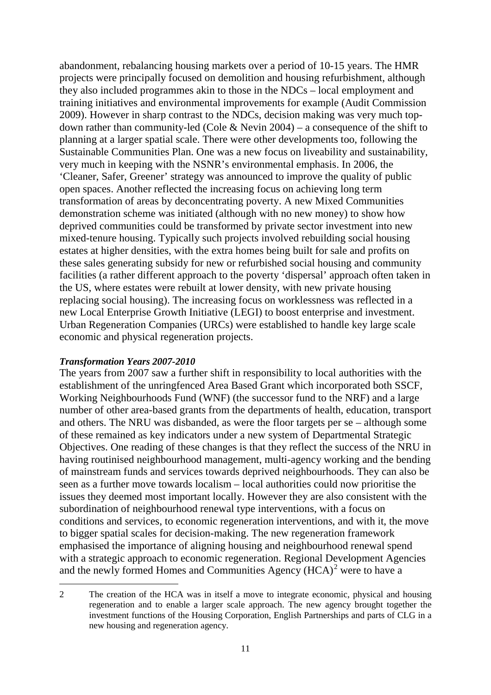abandonment, rebalancing housing markets over a period of 10-15 years. The HMR projects were principally focused on demolition and housing refurbishment, although they also included programmes akin to those in the NDCs – local employment and training initiatives and environmental improvements for example (Audit Commission 2009). However in sharp contrast to the NDCs, decision making was very much topdown rather than community-led (Cole & Nevin 2004) – a consequence of the shift to planning at a larger spatial scale. There were other developments too, following the Sustainable Communities Plan. One was a new focus on liveability and sustainability, very much in keeping with the NSNR's environmental emphasis. In 2006, the 'Cleaner, Safer, Greener' strategy was announced to improve the quality of public open spaces. Another reflected the increasing focus on achieving long term transformation of areas by deconcentrating poverty. A new Mixed Communities demonstration scheme was initiated (although with no new money) to show how deprived communities could be transformed by private sector investment into new mixed-tenure housing. Typically such projects involved rebuilding social housing estates at higher densities, with the extra homes being built for sale and profits on these sales generating subsidy for new or refurbished social housing and community facilities (a rather different approach to the poverty 'dispersal' approach often taken in the US, where estates were rebuilt at lower density, with new private housing replacing social housing). The increasing focus on worklessness was reflected in a new Local Enterprise Growth Initiative (LEGI) to boost enterprise and investment. Urban Regeneration Companies (URCs) were established to handle key large scale economic and physical regeneration projects.

## *Transformation Years 2007-2010*

 $\overline{a}$ 

The years from 2007 saw a further shift in responsibility to local authorities with the establishment of the unringfenced Area Based Grant which incorporated both SSCF, Working Neighbourhoods Fund (WNF) (the successor fund to the NRF) and a large number of other area-based grants from the departments of health, education, transport and others. The NRU was disbanded, as were the floor targets per se – although some of these remained as key indicators under a new system of Departmental Strategic Objectives. One reading of these changes is that they reflect the success of the NRU in having routinised neighbourhood management, multi-agency working and the bending of mainstream funds and services towards deprived neighbourhoods. They can also be seen as a further move towards localism – local authorities could now prioritise the issues they deemed most important locally. However they are also consistent with the subordination of neighbourhood renewal type interventions, with a focus on conditions and services, to economic regeneration interventions, and with it, the move to bigger spatial scales for decision-making. The new regeneration framework emphasised the importance of aligning housing and neighbourhood renewal spend with a strategic approach to economic regeneration. Regional Development Agencies and the newly formed Homes and Communities Agency  $(HCA)^2$  $(HCA)^2$  were to have a

<span id="page-14-0"></span><sup>2</sup> The creation of the HCA was in itself a move to integrate economic, physical and housing regeneration and to enable a larger scale approach. The new agency brought together the investment functions of the Housing Corporation, English Partnerships and parts of CLG in a new housing and regeneration agency.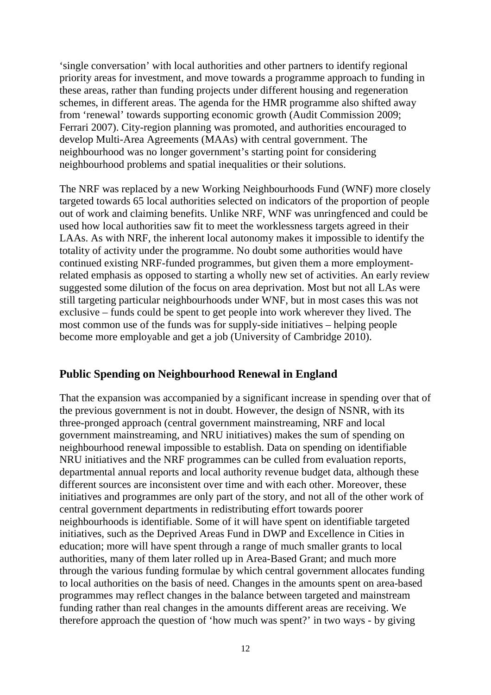'single conversation' with local authorities and other partners to identify regional priority areas for investment, and move towards a programme approach to funding in these areas, rather than funding projects under different housing and regeneration schemes, in different areas. The agenda for the HMR programme also shifted away from 'renewal' towards supporting economic growth (Audit Commission 2009; Ferrari 2007). City-region planning was promoted, and authorities encouraged to develop Multi-Area Agreements (MAAs) with central government. The neighbourhood was no longer government's starting point for considering neighbourhood problems and spatial inequalities or their solutions.

The NRF was replaced by a new Working Neighbourhoods Fund (WNF) more closely targeted towards 65 local authorities selected on indicators of the proportion of people out of work and claiming benefits. Unlike NRF, WNF was unringfenced and could be used how local authorities saw fit to meet the worklessness targets agreed in their LAAs. As with NRF, the inherent local autonomy makes it impossible to identify the totality of activity under the programme. No doubt some authorities would have continued existing NRF-funded programmes, but given them a more employmentrelated emphasis as opposed to starting a wholly new set of activities. An early review suggested some dilution of the focus on area deprivation. Most but not all LAs were still targeting particular neighbourhoods under WNF, but in most cases this was not exclusive – funds could be spent to get people into work wherever they lived. The most common use of the funds was for supply-side initiatives – helping people become more employable and get a job (University of Cambridge 2010).

## <span id="page-15-0"></span>**Public Spending on Neighbourhood Renewal in England**

That the expansion was accompanied by a significant increase in spending over that of the previous government is not in doubt. However, the design of NSNR, with its three-pronged approach (central government mainstreaming, NRF and local government mainstreaming, and NRU initiatives) makes the sum of spending on neighbourhood renewal impossible to establish. Data on spending on identifiable NRU initiatives and the NRF programmes can be culled from evaluation reports, departmental annual reports and local authority revenue budget data, although these different sources are inconsistent over time and with each other. Moreover, these initiatives and programmes are only part of the story, and not all of the other work of central government departments in redistributing effort towards poorer neighbourhoods is identifiable. Some of it will have spent on identifiable targeted initiatives, such as the Deprived Areas Fund in DWP and Excellence in Cities in education; more will have spent through a range of much smaller grants to local authorities, many of them later rolled up in Area-Based Grant; and much more through the various funding formulae by which central government allocates funding to local authorities on the basis of need. Changes in the amounts spent on area-based programmes may reflect changes in the balance between targeted and mainstream funding rather than real changes in the amounts different areas are receiving. We therefore approach the question of 'how much was spent?' in two ways - by giving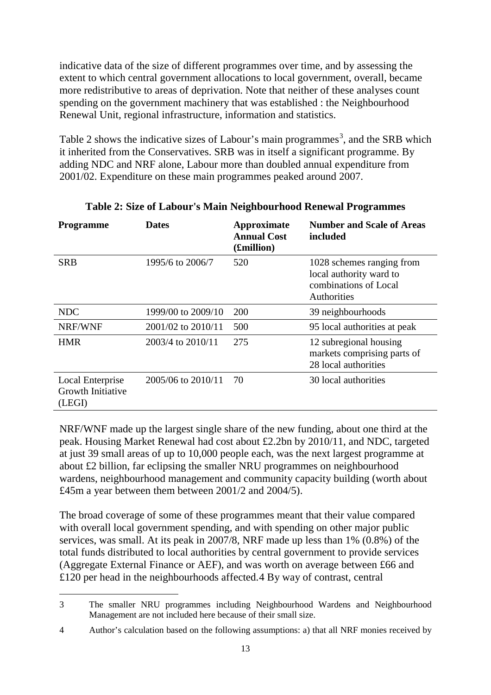indicative data of the size of different programmes over time, and by assessing the extent to which central government allocations to local government, overall, became more redistributive to areas of deprivation. Note that neither of these analyses count spending on the government machinery that was established : the Neighbourhood Renewal Unit, regional infrastructure, information and statistics.

Table 2 shows the indicative sizes of Labour's main programmes<sup>[3](#page-16-0)</sup>, and the SRB which it inherited from the Conservatives. SRB was in itself a significant programme. By adding NDC and NRF alone, Labour more than doubled annual expenditure from 2001/02. Expenditure on these main programmes peaked around 2007.

| <b>Programme</b>                                | <b>Dates</b>       | Approximate<br><b>Annual Cost</b><br>(£million) | <b>Number and Scale of Areas</b><br>included                                                 |
|-------------------------------------------------|--------------------|-------------------------------------------------|----------------------------------------------------------------------------------------------|
| <b>SRB</b>                                      | 1995/6 to 2006/7   | 520                                             | 1028 schemes ranging from<br>local authority ward to<br>combinations of Local<br>Authorities |
| NDC                                             | 1999/00 to 2009/10 | <b>200</b>                                      | 39 neighbourhoods                                                                            |
| NRF/WNF                                         | 2001/02 to 2010/11 | 500                                             | 95 local authorities at peak                                                                 |
| <b>HMR</b>                                      | 2003/4 to 2010/11  | 275                                             | 12 subregional housing<br>markets comprising parts of<br>28 local authorities                |
| Local Enterprise<br>Growth Initiative<br>(LEGI) | 2005/06 to 2010/11 | 70                                              | 30 local authorities                                                                         |

## **Table 2: Size of Labour's Main Neighbourhood Renewal Programmes**

NRF/WNF made up the largest single share of the new funding, about one third at the peak. Housing Market Renewal had cost about £2.2bn by 2010/11, and NDC, targeted at just 39 small areas of up to 10,000 people each, was the next largest programme at about £2 billion, far eclipsing the smaller NRU programmes on neighbourhood wardens, neighbourhood management and community capacity building (worth about £45m a year between them between 2001/2 and 2004/5).

The broad coverage of some of these programmes meant that their value compared with overall local government spending, and with spending on other major public services, was small. At its peak in 2007/8, NRF made up less than 1% (0.8%) of the total funds distributed to local authorities by central government to provide services (Aggregate External Finance or AEF), and was worth on average between £66 and £120 per head in the neighbourhoods affected.[4](#page-16-1) By way of contrast, central

<span id="page-16-0"></span><sup>3</sup> The smaller NRU programmes including Neighbourhood Wardens and Neighbourhood Management are not included here because of their small size.  $\overline{a}$ 

<span id="page-16-1"></span><sup>4</sup> Author's calculation based on the following assumptions: a) that all NRF monies received by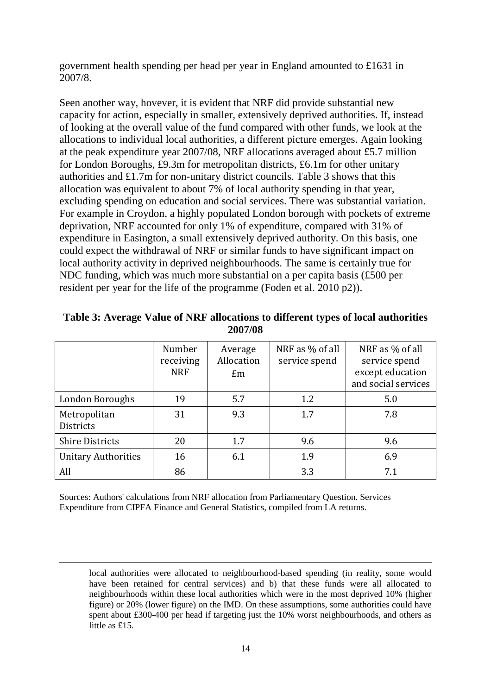government health spending per head per year in England amounted to £1631 in 2007/8.

Seen another way, hovever, it is evident that NRF did provide substantial new capacity for action, especially in smaller, extensively deprived authorities. If, instead of looking at the overall value of the fund compared with other funds, we look at the allocations to individual local authorities, a different picture emerges. Again looking at the peak expenditure year 2007/08, NRF allocations averaged about £5.7 million for London Boroughs, £9.3m for metropolitan districts, £6.1m for other unitary authorities and £1.7m for non-unitary district councils. Table 3 shows that this allocation was equivalent to about 7% of local authority spending in that year, excluding spending on education and social services. There was substantial variation. For example in Croydon, a highly populated London borough with pockets of extreme deprivation, NRF accounted for only 1% of expenditure, compared with 31% of expenditure in Easington, a small extensively deprived authority. On this basis, one could expect the withdrawal of NRF or similar funds to have significant impact on local authority activity in deprived neighbourhoods. The same is certainly true for NDC funding, which was much more substantial on a per capita basis (£500 per resident per year for the life of the programme (Foden et al. 2010 p2)).

|                                  | Number<br>receiving<br><b>NRF</b> | Average<br>Allocation<br>Em | NRF as % of all<br>service spend | NRF as % of all<br>service spend<br>except education<br>and social services |
|----------------------------------|-----------------------------------|-----------------------------|----------------------------------|-----------------------------------------------------------------------------|
| London Boroughs                  | 19                                | 5.7                         | 1.2                              | 5.0                                                                         |
| Metropolitan<br><b>Districts</b> | 31                                | 9.3                         | 1.7                              | 7.8                                                                         |
| <b>Shire Districts</b>           | 20                                | 1.7                         | 9.6                              | 9.6                                                                         |
| <b>Unitary Authorities</b>       | 16                                | 6.1                         | 1.9                              | 6.9                                                                         |
| All                              | 86                                |                             | 3.3                              | 7.1                                                                         |

**Table 3: Average Value of NRF allocations to different types of local authorities 2007/08**

Sources: Authors' calculations from NRF allocation from Parliamentary Question. Services Expenditure from CIPFA Finance and General Statistics, compiled from LA returns.

 $\overline{a}$ 

local authorities were allocated to neighbourhood-based spending (in reality, some would have been retained for central services) and b) that these funds were all allocated to neighbourhoods within these local authorities which were in the most deprived 10% (higher figure) or 20% (lower figure) on the IMD. On these assumptions, some authorities could have spent about £300-400 per head if targeting just the 10% worst neighbourhoods, and others as little as £15.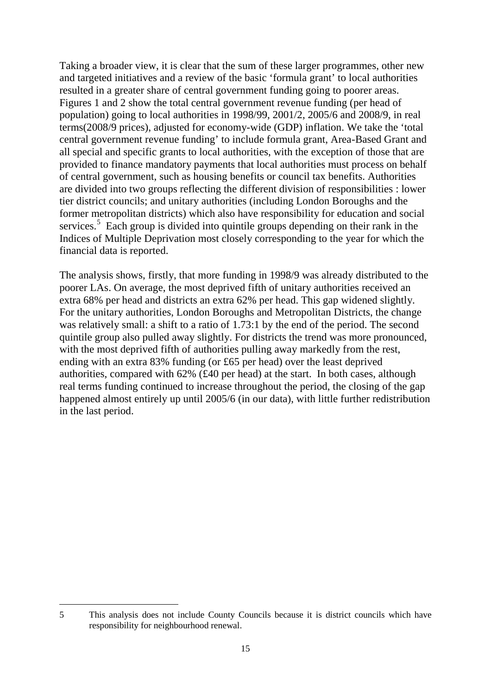Taking a broader view, it is clear that the sum of these larger programmes, other new and targeted initiatives and a review of the basic 'formula grant' to local authorities resulted in a greater share of central government funding going to poorer areas. Figures 1 and 2 show the total central government revenue funding (per head of population) going to local authorities in 1998/99, 2001/2, 2005/6 and 2008/9, in real terms(2008/9 prices), adjusted for economy-wide (GDP) inflation. We take the 'total central government revenue funding' to include formula grant, Area-Based Grant and all special and specific grants to local authorities, with the exception of those that are provided to finance mandatory payments that local authorities must process on behalf of central government, such as housing benefits or council tax benefits. Authorities are divided into two groups reflecting the different division of responsibilities : lower tier district councils; and unitary authorities (including London Boroughs and the former metropolitan districts) which also have responsibility for education and social services.<sup>[5](#page-18-0)</sup> Each group is divided into quintile groups depending on their rank in the Indices of Multiple Deprivation most closely corresponding to the year for which the financial data is reported.

The analysis shows, firstly, that more funding in 1998/9 was already distributed to the poorer LAs. On average, the most deprived fifth of unitary authorities received an extra 68% per head and districts an extra 62% per head. This gap widened slightly. For the unitary authorities, London Boroughs and Metropolitan Districts, the change was relatively small: a shift to a ratio of 1.73:1 by the end of the period. The second quintile group also pulled away slightly. For districts the trend was more pronounced, with the most deprived fifth of authorities pulling away markedly from the rest, ending with an extra 83% funding (or £65 per head) over the least deprived authorities, compared with 62% (£40 per head) at the start. In both cases, although real terms funding continued to increase throughout the period, the closing of the gap happened almost entirely up until 2005/6 (in our data), with little further redistribution in the last period.

<span id="page-18-0"></span><sup>5</sup> This analysis does not include County Councils because it is district councils which have responsibility for neighbourhood renewal.  $\overline{a}$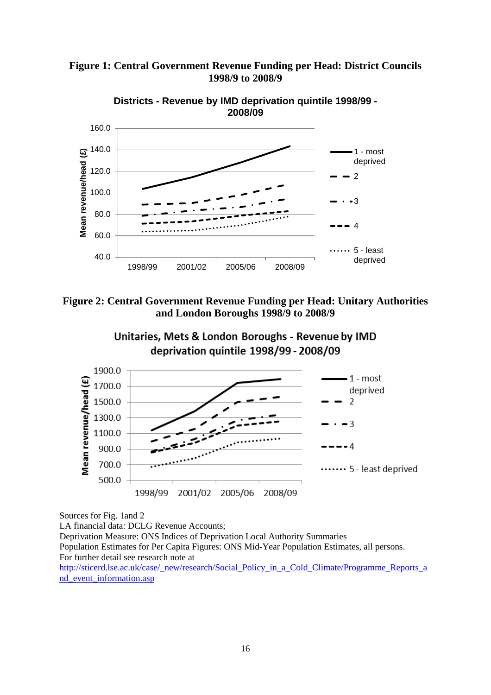

**Figure 1: Central Government Revenue Funding per Head: District Councils 1998/9 to 2008/9**







Sources for Fig. 1and 2

LA financial data: DCLG Revenue Accounts; Deprivation Measure: ONS Indices of Deprivation Local Authority Summaries Population Estimates for Per Capita Figures: ONS Mid-Year Population Estimates, all persons. For further detail see research note at [http://sticerd.lse.ac.uk/case/\\_new/research/Social\\_Policy\\_in\\_a\\_Cold\\_Climate/Programme\\_Reports\\_a](http://sticerd.lse.ac.uk/case/_new/research/Social_Policy_in_a_Cold_Climate/Programme_Reports_and_event_information.asp)

nd event information.asp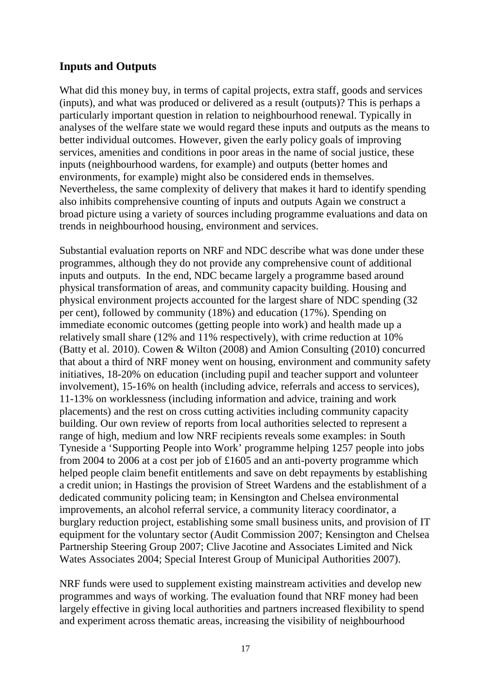# <span id="page-20-0"></span>**Inputs and Outputs**

What did this money buy, in terms of capital projects, extra staff, goods and services (inputs), and what was produced or delivered as a result (outputs)? This is perhaps a particularly important question in relation to neighbourhood renewal. Typically in analyses of the welfare state we would regard these inputs and outputs as the means to better individual outcomes. However, given the early policy goals of improving services, amenities and conditions in poor areas in the name of social justice, these inputs (neighbourhood wardens, for example) and outputs (better homes and environments, for example) might also be considered ends in themselves. Nevertheless, the same complexity of delivery that makes it hard to identify spending also inhibits comprehensive counting of inputs and outputs Again we construct a broad picture using a variety of sources including programme evaluations and data on trends in neighbourhood housing, environment and services.

Substantial evaluation reports on NRF and NDC describe what was done under these programmes, although they do not provide any comprehensive count of additional inputs and outputs. In the end, NDC became largely a programme based around physical transformation of areas, and community capacity building. Housing and physical environment projects accounted for the largest share of NDC spending (32 per cent), followed by community (18%) and education (17%). Spending on immediate economic outcomes (getting people into work) and health made up a relatively small share (12% and 11% respectively), with crime reduction at 10% (Batty et al. 2010). Cowen & Wilton (2008) and Amion Consulting (2010) concurred that about a third of NRF money went on housing, environment and community safety initiatives, 18-20% on education (including pupil and teacher support and volunteer involvement), 15-16% on health (including advice, referrals and access to services), 11-13% on worklessness (including information and advice, training and work placements) and the rest on cross cutting activities including community capacity building. Our own review of reports from local authorities selected to represent a range of high, medium and low NRF recipients reveals some examples: in South Tyneside a 'Supporting People into Work' programme helping 1257 people into jobs from 2004 to 2006 at a cost per job of £1605 and an anti-poverty programme which helped people claim benefit entitlements and save on debt repayments by establishing a credit union; in Hastings the provision of Street Wardens and the establishment of a dedicated community policing team; in Kensington and Chelsea environmental improvements, an alcohol referral service, a community literacy coordinator, a burglary reduction project, establishing some small business units, and provision of IT equipment for the voluntary sector (Audit Commission 2007; Kensington and Chelsea Partnership Steering Group 2007; Clive Jacotine and Associates Limited and Nick Wates Associates 2004; Special Interest Group of Municipal Authorities 2007).

NRF funds were used to supplement existing mainstream activities and develop new programmes and ways of working. The evaluation found that NRF money had been largely effective in giving local authorities and partners increased flexibility to spend and experiment across thematic areas, increasing the visibility of neighbourhood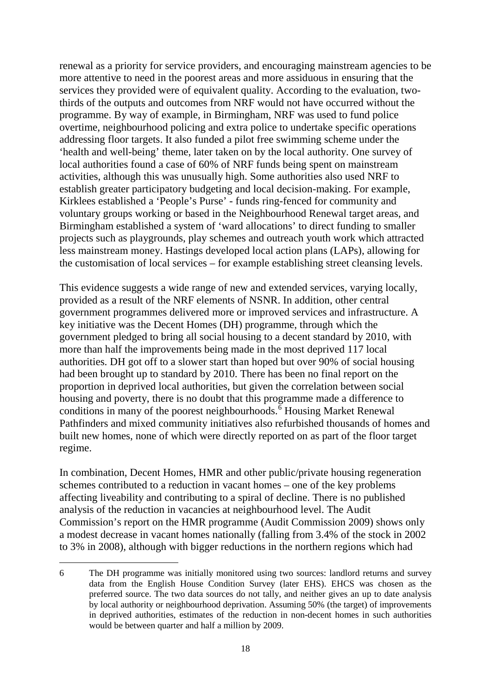renewal as a priority for service providers, and encouraging mainstream agencies to be more attentive to need in the poorest areas and more assiduous in ensuring that the services they provided were of equivalent quality. According to the evaluation, twothirds of the outputs and outcomes from NRF would not have occurred without the programme. By way of example, in Birmingham, NRF was used to fund police overtime, neighbourhood policing and extra police to undertake specific operations addressing floor targets. It also funded a pilot free swimming scheme under the 'health and well-being' theme, later taken on by the local authority. One survey of local authorities found a case of 60% of NRF funds being spent on mainstream activities, although this was unusually high. Some authorities also used NRF to establish greater participatory budgeting and local decision-making. For example, Kirklees established a 'People's Purse' - funds ring-fenced for community and voluntary groups working or based in the Neighbourhood Renewal target areas, and Birmingham established a system of 'ward allocations' to direct funding to smaller projects such as playgrounds, play schemes and outreach youth work which attracted less mainstream money. Hastings developed local action plans (LAPs), allowing for the customisation of local services – for example establishing street cleansing levels.

This evidence suggests a wide range of new and extended services, varying locally, provided as a result of the NRF elements of NSNR. In addition, other central government programmes delivered more or improved services and infrastructure. A key initiative was the Decent Homes (DH) programme, through which the government pledged to bring all social housing to a decent standard by 2010, with more than half the improvements being made in the most deprived 117 local authorities. DH got off to a slower start than hoped but over 90% of social housing had been brought up to standard by 2010. There has been no final report on the proportion in deprived local authorities, but given the correlation between social housing and poverty, there is no doubt that this programme made a difference to conditions in many of the poorest neighbourhoods.<sup> $\delta$ </sup> Housing Market Renewal Pathfinders and mixed community initiatives also refurbished thousands of homes and built new homes, none of which were directly reported on as part of the floor target regime.

In combination, Decent Homes, HMR and other public/private housing regeneration schemes contributed to a reduction in vacant homes – one of the key problems affecting liveability and contributing to a spiral of decline. There is no published analysis of the reduction in vacancies at neighbourhood level. The Audit Commission's report on the HMR programme (Audit Commission 2009) shows only a modest decrease in vacant homes nationally (falling from 3.4% of the stock in 2002 to 3% in 2008), although with bigger reductions in the northern regions which had

 $\overline{a}$ 

<span id="page-21-0"></span><sup>6</sup> The DH programme was initially monitored using two sources: landlord returns and survey data from the English House Condition Survey (later EHS). EHCS was chosen as the preferred source. The two data sources do not tally, and neither gives an up to date analysis by local authority or neighbourhood deprivation. Assuming 50% (the target) of improvements in deprived authorities, estimates of the reduction in non-decent homes in such authorities would be between quarter and half a million by 2009.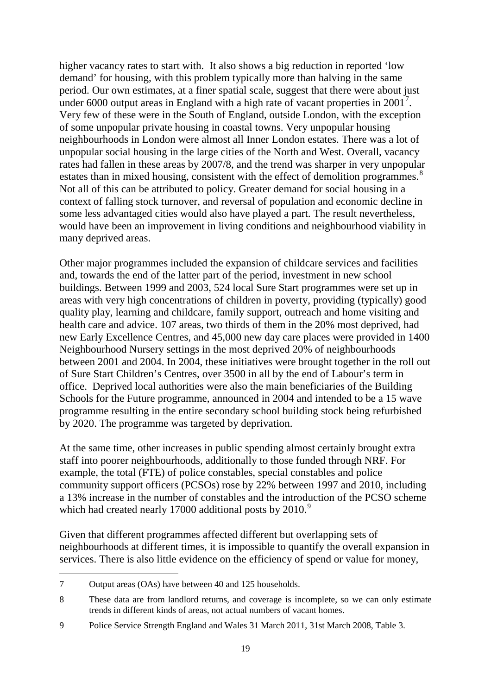higher vacancy rates to start with. It also shows a big reduction in reported 'low demand' for housing, with this problem typically more than halving in the same period. Our own estimates, at a finer spatial scale, suggest that there were about just under 6000 output areas in England with a high rate of vacant properties in 2001<sup>[7](#page-22-0)</sup>. Very few of these were in the South of England, outside London, with the exception of some unpopular private housing in coastal towns. Very unpopular housing neighbourhoods in London were almost all Inner London estates. There was a lot of unpopular social housing in the large cities of the North and West. Overall, vacancy rates had fallen in these areas by 2007/8, and the trend was sharper in very unpopular estates than in mixed housing, consistent with the effect of demolition programmes.<sup>[8](#page-22-1)</sup> Not all of this can be attributed to policy. Greater demand for social housing in a context of falling stock turnover, and reversal of population and economic decline in some less advantaged cities would also have played a part. The result nevertheless, would have been an improvement in living conditions and neighbourhood viability in many deprived areas.

Other major programmes included the expansion of childcare services and facilities and, towards the end of the latter part of the period, investment in new school buildings. Between 1999 and 2003, 524 local Sure Start programmes were set up in areas with very high concentrations of children in poverty, providing (typically) good quality play, learning and childcare, family support, outreach and home visiting and health care and advice. 107 areas, two thirds of them in the 20% most deprived, had new Early Excellence Centres, and 45,000 new day care places were provided in 1400 Neighbourhood Nursery settings in the most deprived 20% of neighbourhoods between 2001 and 2004. In 2004, these initiatives were brought together in the roll out of Sure Start Children's Centres, over 3500 in all by the end of Labour's term in office. Deprived local authorities were also the main beneficiaries of the Building Schools for the Future programme, announced in 2004 and intended to be a 15 wave programme resulting in the entire secondary school building stock being refurbished by 2020. The programme was targeted by deprivation.

At the same time, other increases in public spending almost certainly brought extra staff into poorer neighbourhoods, additionally to those funded through NRF. For example, the total (FTE) of police constables, special constables and police community support officers (PCSOs) rose by 22% between 1997 and 2010, including a 13% increase in the number of constables and the introduction of the PCSO scheme which had created nearly 17000 additional posts by 2010.<sup>[9](#page-22-2)</sup>

Given that different programmes affected different but overlapping sets of neighbourhoods at different times, it is impossible to quantify the overall expansion in services. There is also little evidence on the efficiency of spend or value for money,

 $\overline{a}$ 

<span id="page-22-0"></span><sup>7</sup> Output areas (OAs) have between 40 and 125 households.

<span id="page-22-1"></span><sup>8</sup> These data are from landlord returns, and coverage is incomplete, so we can only estimate trends in different kinds of areas, not actual numbers of vacant homes.

<span id="page-22-2"></span><sup>9</sup> Police Service Strength England and Wales 31 March 2011, 31st March 2008, Table 3.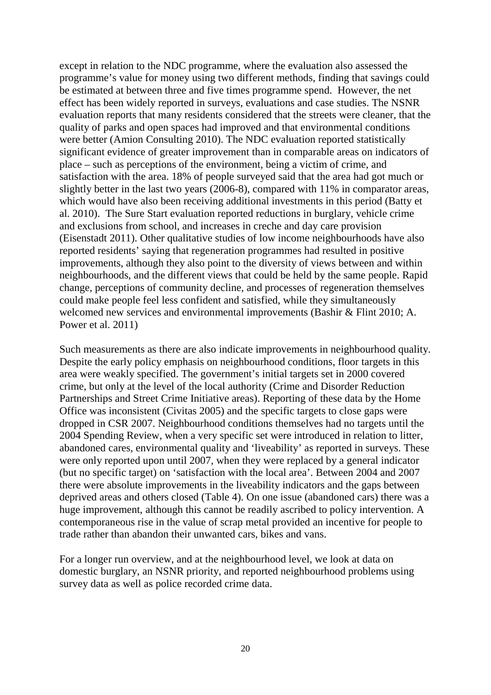except in relation to the NDC programme, where the evaluation also assessed the programme's value for money using two different methods, finding that savings could be estimated at between three and five times programme spend. However, the net effect has been widely reported in surveys, evaluations and case studies. The NSNR evaluation reports that many residents considered that the streets were cleaner, that the quality of parks and open spaces had improved and that environmental conditions were better (Amion Consulting 2010). The NDC evaluation reported statistically significant evidence of greater improvement than in comparable areas on indicators of place – such as perceptions of the environment, being a victim of crime, and satisfaction with the area. 18% of people surveyed said that the area had got much or slightly better in the last two years (2006-8), compared with 11% in comparator areas, which would have also been receiving additional investments in this period (Batty et al. 2010). The Sure Start evaluation reported reductions in burglary, vehicle crime and exclusions from school, and increases in creche and day care provision (Eisenstadt 2011). Other qualitative studies of low income neighbourhoods have also reported residents' saying that regeneration programmes had resulted in positive improvements, although they also point to the diversity of views between and within neighbourhoods, and the different views that could be held by the same people. Rapid change, perceptions of community decline, and processes of regeneration themselves could make people feel less confident and satisfied, while they simultaneously welcomed new services and environmental improvements (Bashir & Flint 2010; A. Power et al. 2011)

Such measurements as there are also indicate improvements in neighbourhood quality. Despite the early policy emphasis on neighbourhood conditions, floor targets in this area were weakly specified. The government's initial targets set in 2000 covered crime, but only at the level of the local authority (Crime and Disorder Reduction Partnerships and Street Crime Initiative areas). Reporting of these data by the Home Office was inconsistent (Civitas 2005) and the specific targets to close gaps were dropped in CSR 2007. Neighbourhood conditions themselves had no targets until the 2004 Spending Review, when a very specific set were introduced in relation to litter, abandoned cares, environmental quality and 'liveability' as reported in surveys. These were only reported upon until 2007, when they were replaced by a general indicator (but no specific target) on 'satisfaction with the local area'. Between 2004 and 2007 there were absolute improvements in the liveability indicators and the gaps between deprived areas and others closed (Table 4). On one issue (abandoned cars) there was a huge improvement, although this cannot be readily ascribed to policy intervention. A contemporaneous rise in the value of scrap metal provided an incentive for people to trade rather than abandon their unwanted cars, bikes and vans.

For a longer run overview, and at the neighbourhood level, we look at data on domestic burglary, an NSNR priority, and reported neighbourhood problems using survey data as well as police recorded crime data.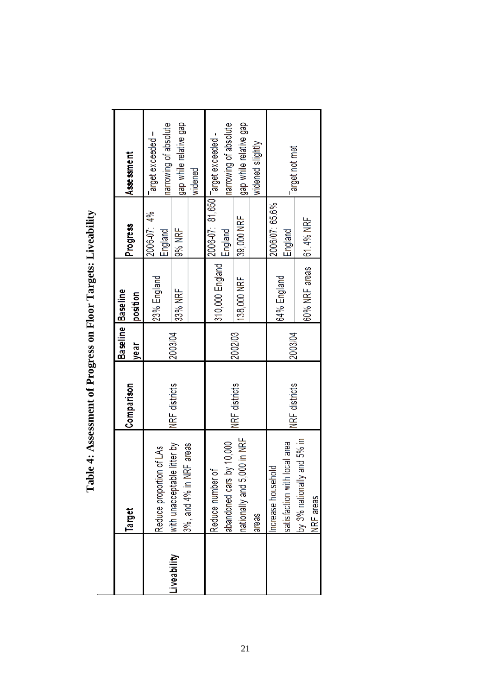|            | <b>Target</b>                                          | Comparison    | Baseline Baseline<br>year | position                | Progress                  | Assessment                                                 |
|------------|--------------------------------------------------------|---------------|---------------------------|-------------------------|---------------------------|------------------------------------------------------------|
|            | Reduce proportion of LAs                               |               |                           | 23% England             | 2006-07: 4%<br>England    | narrowing of absolute<br>Target exceeded -                 |
| iveability | with unacceptable litter by<br>3%, and 4% in NRF areas | NRF districts | 2003/04                   | 33% NRF                 | 9% NRF                    | gap while relative gap<br>widened                          |
|            | abandoned cars by 10,000<br>đ<br>Reduce number         |               |                           | 310,000 England         | England                   | narrowing of absolute<br>2006-07: 81,650 Target exceeded - |
|            | ,000 in NRF<br>nationally and 5,<br>areas              | NRF districts | 2002/03                   | 138,000 NRF             | 39,000 NRF                | gap while relative gap<br>widened slightly                 |
|            | satisfaction with local area<br>ncrease household      | NRF districts | 2003/04                   | 64% England             | 2006/07: 65.6%<br>England | Target not met                                             |
|            | by 3% nationally and 5% in<br>NRF areas                |               |                           | 60% NRF areas 61.4% NRF |                           |                                                            |

Table 4: Assessment of Progress on Floor Targets: Liveability **Table 4: Assessment of Progress on Floor Targets: Liveability**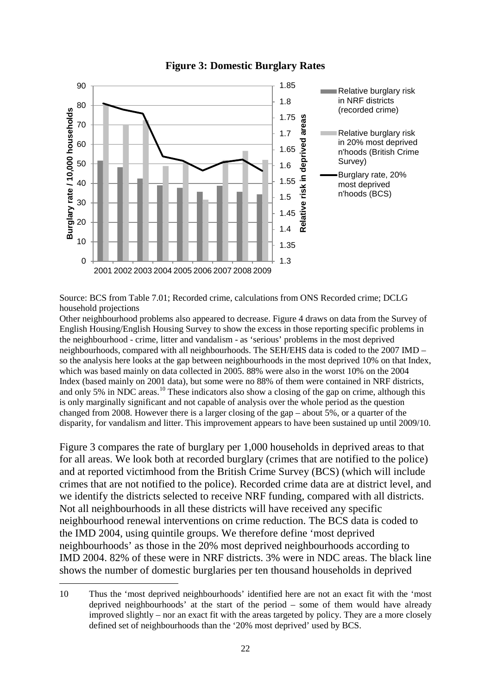

#### **Figure 3: Domestic Burglary Rates**

Source: BCS from Table 7.01; Recorded crime, calculations from ONS Recorded crime; DCLG household projections

Other neighbourhood problems also appeared to decrease. Figure 4 draws on data from the Survey of English Housing/English Housing Survey to show the excess in those reporting specific problems in the neighbourhood - crime, litter and vandalism - as 'serious' problems in the most deprived neighbourhoods, compared with all neighbourhoods. The SEH/EHS data is coded to the 2007 IMD – so the analysis here looks at the gap between neighbourhoods in the most deprived 10% on that Index, which was based mainly on data collected in 2005. 88% were also in the worst 10% on the 2004 Index (based mainly on 2001 data), but some were no 88% of them were contained in NRF districts, and only 5% in NDC areas.<sup>[10](#page-25-0)</sup> These indicators also show a closing of the gap on crime, although this is only marginally significant and not capable of analysis over the whole period as the question changed from 2008. However there is a larger closing of the gap – about 5%, or a quarter of the disparity, for vandalism and litter. This improvement appears to have been sustained up until 2009/10.

Figure 3 compares the rate of burglary per 1,000 households in deprived areas to that for all areas. We look both at recorded burglary (crimes that are notified to the police) and at reported victimhood from the British Crime Survey (BCS) (which will include crimes that are not notified to the police). Recorded crime data are at district level, and we identify the districts selected to receive NRF funding, compared with all districts. Not all neighbourhoods in all these districts will have received any specific neighbourhood renewal interventions on crime reduction. The BCS data is coded to the IMD 2004, using quintile groups. We therefore define 'most deprived neighbourhoods' as those in the 20% most deprived neighbourhoods according to IMD 2004. 82% of these were in NRF districts. 3% were in NDC areas. The black line shows the number of domestic burglaries per ten thousand households in deprived

 $\overline{a}$ 

<span id="page-25-0"></span><sup>10</sup> Thus the 'most deprived neighbourhoods' identified here are not an exact fit with the 'most deprived neighbourhoods' at the start of the period – some of them would have already improved slightly – nor an exact fit with the areas targeted by policy. They are a more closely defined set of neighbourhoods than the '20% most deprived' used by BCS.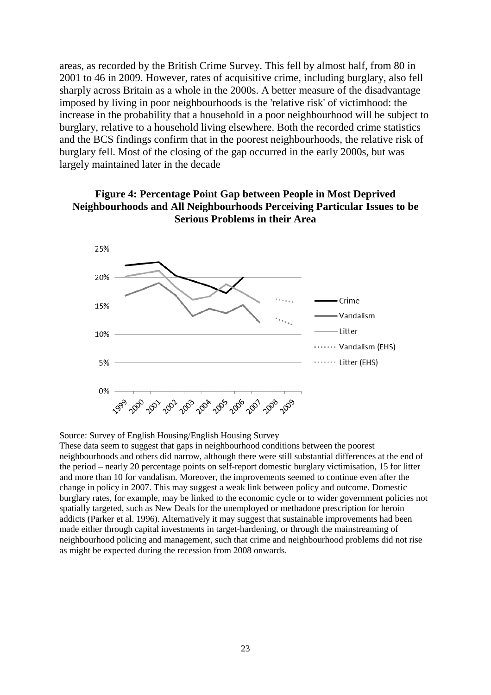areas, as recorded by the British Crime Survey. This fell by almost half, from 80 in 2001 to 46 in 2009. However, rates of acquisitive crime, including burglary, also fell sharply across Britain as a whole in the 2000s. A better measure of the disadvantage imposed by living in poor neighbourhoods is the 'relative risk' of victimhood: the increase in the probability that a household in a poor neighbourhood will be subject to burglary, relative to a household living elsewhere. Both the recorded crime statistics and the BCS findings confirm that in the poorest neighbourhoods, the relative risk of burglary fell. Most of the closing of the gap occurred in the early 2000s, but was largely maintained later in the decade





Source: Survey of English Housing/English Housing Survey

These data seem to suggest that gaps in neighbourhood conditions between the poorest neighbourhoods and others did narrow, although there were still substantial differences at the end of the period – nearly 20 percentage points on self-report domestic burglary victimisation, 15 for litter and more than 10 for vandalism. Moreover, the improvements seemed to continue even after the change in policy in 2007. This may suggest a weak link between policy and outcome. Domestic burglary rates, for example, may be linked to the economic cycle or to wider government policies not spatially targeted, such as New Deals for the unemployed or methadone prescription for heroin addicts (Parker et al. 1996). Alternatively it may suggest that sustainable improvements had been made either through capital investments in target-hardening, or through the mainstreaming of neighbourhood policing and management, such that crime and neighbourhood problems did not rise as might be expected during the recession from 2008 onwards.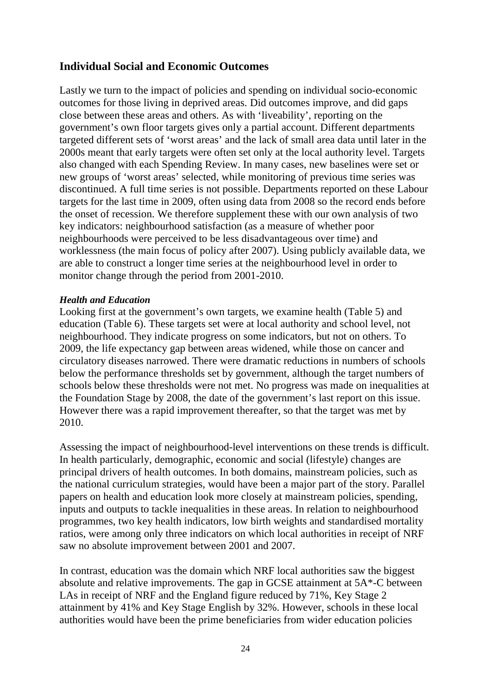# <span id="page-27-0"></span>**Individual Social and Economic Outcomes**

Lastly we turn to the impact of policies and spending on individual socio-economic outcomes for those living in deprived areas. Did outcomes improve, and did gaps close between these areas and others. As with 'liveability', reporting on the government's own floor targets gives only a partial account. Different departments targeted different sets of 'worst areas' and the lack of small area data until later in the 2000s meant that early targets were often set only at the local authority level. Targets also changed with each Spending Review. In many cases, new baselines were set or new groups of 'worst areas' selected, while monitoring of previous time series was discontinued. A full time series is not possible. Departments reported on these Labour targets for the last time in 2009, often using data from 2008 so the record ends before the onset of recession. We therefore supplement these with our own analysis of two key indicators: neighbourhood satisfaction (as a measure of whether poor neighbourhoods were perceived to be less disadvantageous over time) and worklessness (the main focus of policy after 2007). Using publicly available data, we are able to construct a longer time series at the neighbourhood level in order to monitor change through the period from 2001-2010.

## *Health and Education*

Looking first at the government's own targets, we examine health (Table 5) and education (Table 6). These targets set were at local authority and school level, not neighbourhood. They indicate progress on some indicators, but not on others. To 2009, the life expectancy gap between areas widened, while those on cancer and circulatory diseases narrowed. There were dramatic reductions in numbers of schools below the performance thresholds set by government, although the target numbers of schools below these thresholds were not met. No progress was made on inequalities at the Foundation Stage by 2008, the date of the government's last report on this issue. However there was a rapid improvement thereafter, so that the target was met by 2010.

Assessing the impact of neighbourhood-level interventions on these trends is difficult. In health particularly, demographic, economic and social (lifestyle) changes are principal drivers of health outcomes. In both domains, mainstream policies, such as the national curriculum strategies, would have been a major part of the story. Parallel papers on health and education look more closely at mainstream policies, spending, inputs and outputs to tackle inequalities in these areas. In relation to neighbourhood programmes, two key health indicators, low birth weights and standardised mortality ratios, were among only three indicators on which local authorities in receipt of NRF saw no absolute improvement between 2001 and 2007.

In contrast, education was the domain which NRF local authorities saw the biggest absolute and relative improvements. The gap in GCSE attainment at 5A\*-C between LAs in receipt of NRF and the England figure reduced by 71%, Key Stage 2 attainment by 41% and Key Stage English by 32%. However, schools in these local authorities would have been the prime beneficiaries from wider education policies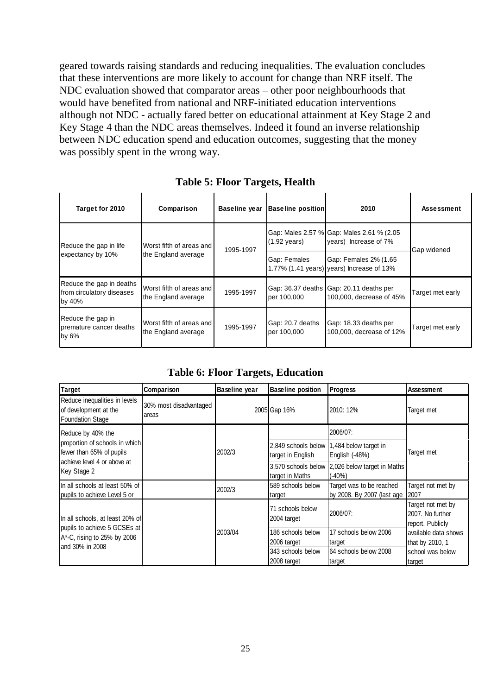geared towards raising standards and reducing inequalities. The evaluation concludes that these interventions are more likely to account for change than NRF itself. The NDC evaluation showed that comparator areas – other poor neighbourhoods that would have benefited from national and NRF-initiated education interventions although not NDC - actually fared better on educational attainment at Key Stage 2 and Key Stage 4 than the NDC areas themselves. Indeed it found an inverse relationship between NDC education spend and education outcomes, suggesting that the money was possibly spent in the wrong way.

| Target for 2010                                                 | Comparison                                      | <b>Baseline year</b> | <b>Baseline position</b>        | 2010                                                                | Assessment       |  |
|-----------------------------------------------------------------|-------------------------------------------------|----------------------|---------------------------------|---------------------------------------------------------------------|------------------|--|
| Reduce the gap in life                                          | Worst fifth of areas and                        | 1995-1997            | $(1.92 \text{ years})$          | Gap: Males 2.57 % Gap: Males 2.61 % (2.05<br>years) Increase of 7%  | Gap widened      |  |
| expectancy by 10%<br>the England average                        |                                                 |                      | Gap: Females                    | Gap: Females 2% (1.65<br>1.77% (1.41 years) years) Increase of 13%  |                  |  |
| Reduce the gap in deaths<br>from circulatory diseases<br>by 40% | Worst fifth of areas and<br>the England average | 1995-1997            | per 100,000                     | Gap: 36.37 deaths Gap: 20.11 deaths per<br>100,000, decrease of 45% | Target met early |  |
| Reduce the gap in<br>premature cancer deaths<br>by $6\%$        | Worst fifth of areas and<br>the England average | 1995-1997            | Gap: 20.7 deaths<br>per 100,000 | Gap: 18.33 deaths per<br>100,000, decrease of 12%                   | Target met early |  |

**Table 5: Floor Targets, Health**

**Table 6: Floor Targets, Education**

| <b>Target</b>                                                                                                                 | Comparison                      | <b>Baseline year</b> | <b>Baseline position</b>             | <b>Progress</b>                                                                                                                      | Assessment                                                |
|-------------------------------------------------------------------------------------------------------------------------------|---------------------------------|----------------------|--------------------------------------|--------------------------------------------------------------------------------------------------------------------------------------|-----------------------------------------------------------|
| Reduce inequalities in levels<br>of development at the<br><b>Foundation Stage</b>                                             | 30% most disadvantaged<br>areas |                      | 2005 Gap 16%                         | 2010: 12%                                                                                                                            | Target met                                                |
| Reduce by 40% the<br>proportion of schools in which<br>fewer than 65% of pupils<br>achieve level 4 or above at<br>Key Stage 2 |                                 | 2002/3               | target in English<br>target in Maths | 2006/07:<br>2,849 schools below 1,484 below target in<br>English (-48%)<br>3,570 schools below 2,026 below target in Maths<br>(-40%) | Target met                                                |
| In all schools at least 50% of<br>pupils to achieve Level 5 or                                                                |                                 | 2002/3               | 589 schools below<br>target          | Target was to be reached<br>by 2008. By 2007 (last age                                                                               | Target not met by<br>2007                                 |
| In all schools, at least 20% of                                                                                               |                                 |                      | 71 schools below<br>2004 target      | 2006/07:                                                                                                                             | Target not met by<br>2007. No further<br>report. Publicly |
| pupils to achieve 5 GCSEs at<br>A*-C, rising to 25% by 2006                                                                   |                                 | 2003/04              | 186 schools below<br>2006 target     | 17 schools below 2006<br>target                                                                                                      | available data shows<br>that by 2010, 1                   |
| and 30% in 2008                                                                                                               |                                 |                      | 343 schools below<br>2008 target     | 64 schools below 2008<br>target                                                                                                      | school was below<br>target                                |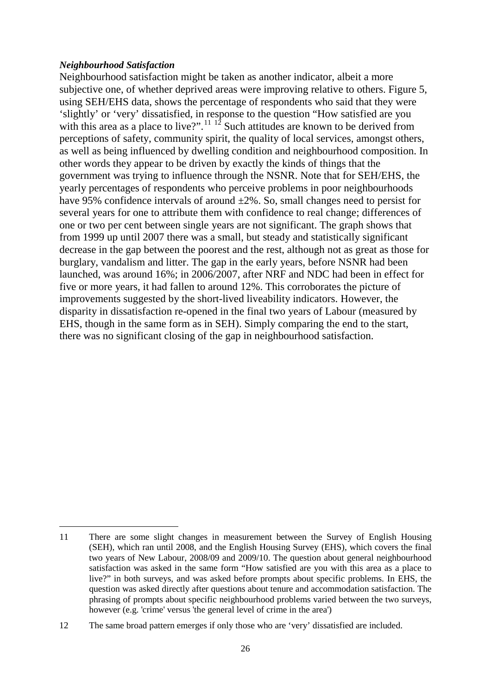#### *Neighbourhood Satisfaction*

Neighbourhood satisfaction might be taken as another indicator, albeit a more subjective one, of whether deprived areas were improving relative to others. Figure 5, using SEH/EHS data, shows the percentage of respondents who said that they were 'slightly' or 'very' dissatisfied, in response to the question "How satisfied are you with this area as a place to live?".<sup>[11](#page-29-0) [12](#page-29-1)</sup> Such attitudes are known to be derived from perceptions of safety, community spirit, the quality of local services, amongst others, as well as being influenced by dwelling condition and neighbourhood composition. In other words they appear to be driven by exactly the kinds of things that the government was trying to influence through the NSNR. Note that for SEH/EHS, the yearly percentages of respondents who perceive problems in poor neighbourhoods have 95% confidence intervals of around  $\pm 2\%$ . So, small changes need to persist for several years for one to attribute them with confidence to real change; differences of one or two per cent between single years are not significant. The graph shows that from 1999 up until 2007 there was a small, but steady and statistically significant decrease in the gap between the poorest and the rest, although not as great as those for burglary, vandalism and litter. The gap in the early years, before NSNR had been launched, was around 16%; in 2006/2007, after NRF and NDC had been in effect for five or more years, it had fallen to around 12%. This corroborates the picture of improvements suggested by the short-lived liveability indicators. However, the disparity in dissatisfaction re-opened in the final two years of Labour (measured by EHS, though in the same form as in SEH). Simply comparing the end to the start, there was no significant closing of the gap in neighbourhood satisfaction.

<span id="page-29-0"></span><sup>11</sup> There are some slight changes in measurement between the Survey of English Housing (SEH), which ran until 2008, and the English Housing Survey (EHS), which covers the final two years of New Labour, 2008/09 and 2009/10. The question about general neighbourhood satisfaction was asked in the same form "How satisfied are you with this area as a place to live?" in both surveys, and was asked before prompts about specific problems. In EHS, the question was asked directly after questions about tenure and accommodation satisfaction. The phrasing of prompts about specific neighbourhood problems varied between the two surveys, however (e.g. 'crime' versus 'the general level of crime in the area')  $\overline{a}$ 

<span id="page-29-1"></span><sup>12</sup> The same broad pattern emerges if only those who are 'very' dissatisfied are included.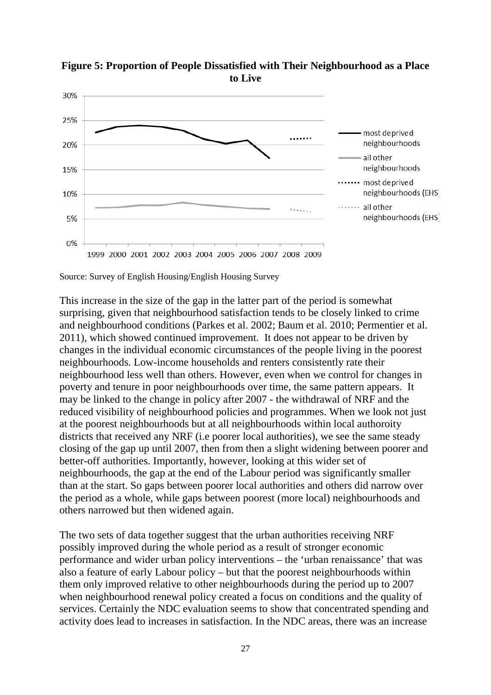

**Figure 5: Proportion of People Dissatisfied with Their Neighbourhood as a Place to Live**

Source: Survey of English Housing/English Housing Survey

This increase in the size of the gap in the latter part of the period is somewhat surprising, given that neighbourhood satisfaction tends to be closely linked to crime and neighbourhood conditions (Parkes et al. 2002; Baum et al. 2010; Permentier et al. 2011), which showed continued improvement. It does not appear to be driven by changes in the individual economic circumstances of the people living in the poorest neighbourhoods. Low-income households and renters consistently rate their neighbourhood less well than others. However, even when we control for changes in poverty and tenure in poor neighbourhoods over time, the same pattern appears. It may be linked to the change in policy after 2007 - the withdrawal of NRF and the reduced visibility of neighbourhood policies and programmes. When we look not just at the poorest neighbourhoods but at all neighbourhoods within local authoroity districts that received any NRF (i.e poorer local authorities), we see the same steady closing of the gap up until 2007, then from then a slight widening between poorer and better-off authorities. Importantly, however, looking at this wider set of neighbourhoods, the gap at the end of the Labour period was significantly smaller than at the start. So gaps between poorer local authorities and others did narrow over the period as a whole, while gaps between poorest (more local) neighbourhoods and others narrowed but then widened again.

The two sets of data together suggest that the urban authorities receiving NRF possibly improved during the whole period as a result of stronger economic performance and wider urban policy interventions – the 'urban renaissance' that was also a feature of early Labour policy – but that the poorest neighbourhoods within them only improved relative to other neighbourhoods during the period up to 2007 when neighbourhood renewal policy created a focus on conditions and the quality of services. Certainly the NDC evaluation seems to show that concentrated spending and activity does lead to increases in satisfaction. In the NDC areas, there was an increase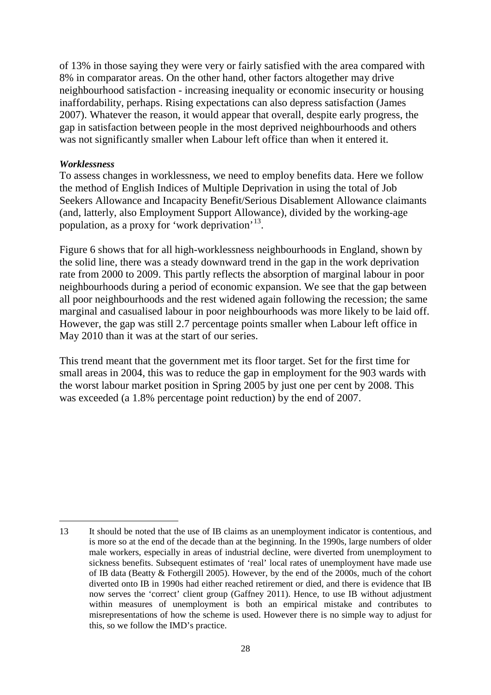of 13% in those saying they were very or fairly satisfied with the area compared with 8% in comparator areas. On the other hand, other factors altogether may drive neighbourhood satisfaction - increasing inequality or economic insecurity or housing inaffordability, perhaps. Rising expectations can also depress satisfaction (James 2007). Whatever the reason, it would appear that overall, despite early progress, the gap in satisfaction between people in the most deprived neighbourhoods and others was not significantly smaller when Labour left office than when it entered it.

#### *Worklessness*

 $\overline{a}$ 

To assess changes in worklessness, we need to employ benefits data. Here we follow the method of English Indices of Multiple Deprivation in using the total of Job Seekers Allowance and Incapacity Benefit/Serious Disablement Allowance claimants (and, latterly, also Employment Support Allowance), divided by the working-age population, as a proxy for 'work deprivation'[13](#page-31-0).

Figure 6 shows that for all high-worklessness neighbourhoods in England, shown by the solid line, there was a steady downward trend in the gap in the work deprivation rate from 2000 to 2009. This partly reflects the absorption of marginal labour in poor neighbourhoods during a period of economic expansion. We see that the gap between all poor neighbourhoods and the rest widened again following the recession; the same marginal and casualised labour in poor neighbourhoods was more likely to be laid off. However, the gap was still 2.7 percentage points smaller when Labour left office in May 2010 than it was at the start of our series.

This trend meant that the government met its floor target. Set for the first time for small areas in 2004, this was to reduce the gap in employment for the 903 wards with the worst labour market position in Spring 2005 by just one per cent by 2008. This was exceeded (a 1.8% percentage point reduction) by the end of 2007.

<span id="page-31-0"></span><sup>13</sup> It should be noted that the use of IB claims as an unemployment indicator is contentious, and is more so at the end of the decade than at the beginning. In the 1990s, large numbers of older male workers, especially in areas of industrial decline, were diverted from unemployment to sickness benefits. Subsequent estimates of 'real' local rates of unemployment have made use of IB data (Beatty & Fothergill 2005). However, by the end of the 2000s, much of the cohort diverted onto IB in 1990s had either reached retirement or died, and there is evidence that IB now serves the 'correct' client group (Gaffney 2011). Hence, to use IB without adjustment within measures of unemployment is both an empirical mistake and contributes to misrepresentations of how the scheme is used. However there is no simple way to adjust for this, so we follow the IMD's practice.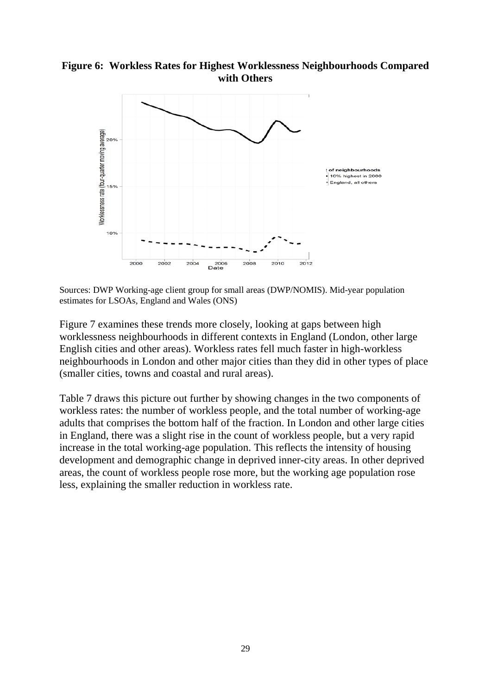## **Figure 6: Workless Rates for Highest Worklessness Neighbourhoods Compared with Others**



Sources: DWP Working-age client group for small areas (DWP/NOMIS). Mid-year population estimates for LSOAs, England and Wales (ONS)

Figure 7 examines these trends more closely, looking at gaps between high worklessness neighbourhoods in different contexts in England (London, other large English cities and other areas). Workless rates fell much faster in high-workless neighbourhoods in London and other major cities than they did in other types of place (smaller cities, towns and coastal and rural areas).

Table 7 draws this picture out further by showing changes in the two components of workless rates: the number of workless people, and the total number of working-age adults that comprises the bottom half of the fraction. In London and other large cities in England, there was a slight rise in the count of workless people, but a very rapid increase in the total working-age population. This reflects the intensity of housing development and demographic change in deprived inner-city areas. In other deprived areas, the count of workless people rose more, but the working age population rose less, explaining the smaller reduction in workless rate.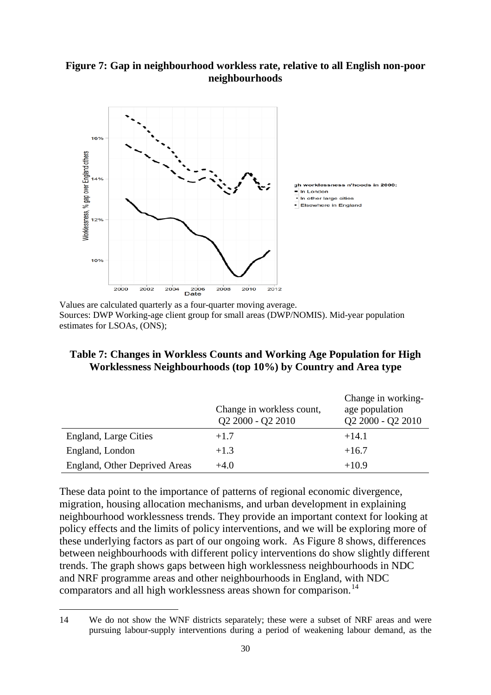## **Figure 7: Gap in neighbourhood workless rate, relative to all English non-poor neighbourhoods**



Values are calculated quarterly as a four-quarter moving average. Sources: DWP Working-age client group for small areas (DWP/NOMIS). Mid-year population estimates for LSOAs, (ONS);

## **Table 7: Changes in Workless Counts and Working Age Population for High Worklessness Neighbourhoods (top 10%) by Country and Area type**

|                               | Change in workless count,<br>Q2 2000 - Q2 2010 | Change in working-<br>age population<br>Q2 2000 - Q2 2010 |
|-------------------------------|------------------------------------------------|-----------------------------------------------------------|
| England, Large Cities         | $+1.7$                                         | $+14.1$                                                   |
| England, London               | $+1.3$                                         | $+16.7$                                                   |
| England, Other Deprived Areas | $+4.0$                                         | $+10.9$                                                   |

These data point to the importance of patterns of regional economic divergence, migration, housing allocation mechanisms, and urban development in explaining neighbourhood worklessness trends. They provide an important context for looking at policy effects and the limits of policy interventions, and we will be exploring more of these underlying factors as part of our ongoing work. As Figure 8 shows, differences between neighbourhoods with different policy interventions do show slightly different trends. The graph shows gaps between high worklessness neighbourhoods in NDC and NRF programme areas and other neighbourhoods in England, with NDC comparators and all high worklessness areas shown for comparison.<sup>[14](#page-33-0)</sup>

<span id="page-33-0"></span><sup>14</sup> We do not show the WNF districts separately; these were a subset of NRF areas and were pursuing labour-supply interventions during a period of weakening labour demand, as the  $\overline{a}$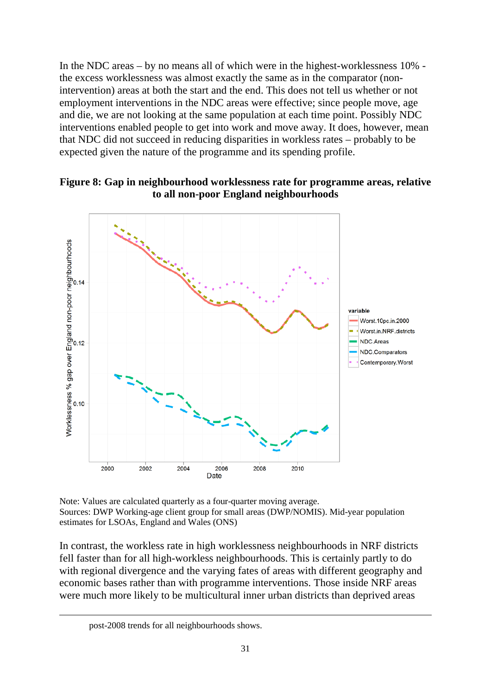In the NDC areas – by no means all of which were in the highest-worklessness 10% the excess worklessness was almost exactly the same as in the comparator (nonintervention) areas at both the start and the end. This does not tell us whether or not employment interventions in the NDC areas were effective; since people move, age and die, we are not looking at the same population at each time point. Possibly NDC interventions enabled people to get into work and move away. It does, however, mean that NDC did not succeed in reducing disparities in workless rates – probably to be expected given the nature of the programme and its spending profile.





Note: Values are calculated quarterly as a four-quarter moving average. Sources: DWP Working-age client group for small areas (DWP/NOMIS). Mid-year population estimates for LSOAs, England and Wales (ONS)

In contrast, the workless rate in high worklessness neighbourhoods in NRF districts fell faster than for all high-workless neighbourhoods. This is certainly partly to do with regional divergence and the varying fates of areas with different geography and economic bases rather than with programme interventions. Those inside NRF areas were much more likely to be multicultural inner urban districts than deprived areas

post-2008 trends for all neighbourhoods shows.

 $\overline{a}$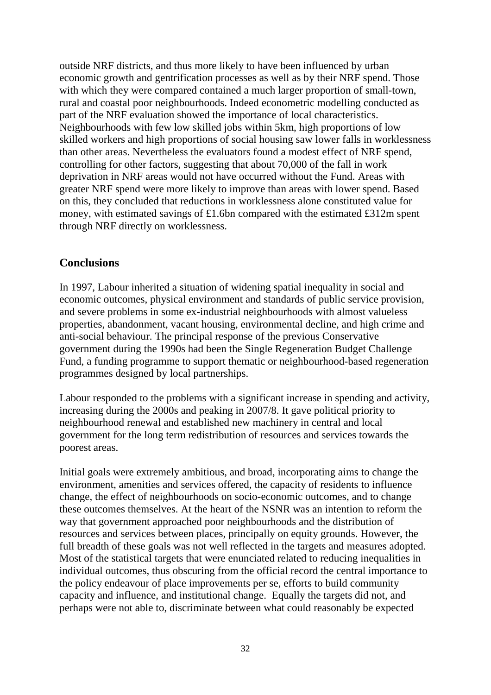outside NRF districts, and thus more likely to have been influenced by urban economic growth and gentrification processes as well as by their NRF spend. Those with which they were compared contained a much larger proportion of small-town, rural and coastal poor neighbourhoods. Indeed econometric modelling conducted as part of the NRF evaluation showed the importance of local characteristics. Neighbourhoods with few low skilled jobs within 5km, high proportions of low skilled workers and high proportions of social housing saw lower falls in worklessness than other areas. Nevertheless the evaluators found a modest effect of NRF spend, controlling for other factors, suggesting that about 70,000 of the fall in work deprivation in NRF areas would not have occurred without the Fund. Areas with greater NRF spend were more likely to improve than areas with lower spend. Based on this, they concluded that reductions in worklessness alone constituted value for money, with estimated savings of £1.6bn compared with the estimated £312m spent through NRF directly on worklessness.

# <span id="page-35-0"></span>**Conclusions**

In 1997, Labour inherited a situation of widening spatial inequality in social and economic outcomes, physical environment and standards of public service provision, and severe problems in some ex-industrial neighbourhoods with almost valueless properties, abandonment, vacant housing, environmental decline, and high crime and anti-social behaviour. The principal response of the previous Conservative government during the 1990s had been the Single Regeneration Budget Challenge Fund, a funding programme to support thematic or neighbourhood-based regeneration programmes designed by local partnerships.

Labour responded to the problems with a significant increase in spending and activity, increasing during the 2000s and peaking in 2007/8. It gave political priority to neighbourhood renewal and established new machinery in central and local government for the long term redistribution of resources and services towards the poorest areas.

Initial goals were extremely ambitious, and broad, incorporating aims to change the environment, amenities and services offered, the capacity of residents to influence change, the effect of neighbourhoods on socio-economic outcomes, and to change these outcomes themselves. At the heart of the NSNR was an intention to reform the way that government approached poor neighbourhoods and the distribution of resources and services between places, principally on equity grounds. However, the full breadth of these goals was not well reflected in the targets and measures adopted. Most of the statistical targets that were enunciated related to reducing inequalities in individual outcomes, thus obscuring from the official record the central importance to the policy endeavour of place improvements per se, efforts to build community capacity and influence, and institutional change. Equally the targets did not, and perhaps were not able to, discriminate between what could reasonably be expected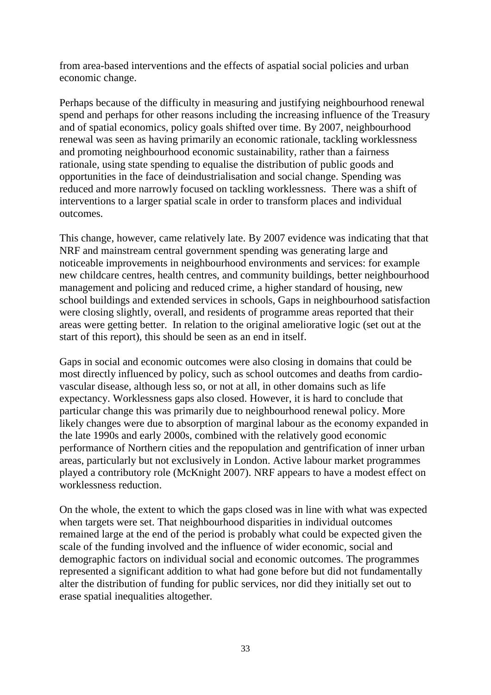from area-based interventions and the effects of aspatial social policies and urban economic change.

Perhaps because of the difficulty in measuring and justifying neighbourhood renewal spend and perhaps for other reasons including the increasing influence of the Treasury and of spatial economics, policy goals shifted over time. By 2007, neighbourhood renewal was seen as having primarily an economic rationale, tackling worklessness and promoting neighbourhood economic sustainability, rather than a fairness rationale, using state spending to equalise the distribution of public goods and opportunities in the face of deindustrialisation and social change. Spending was reduced and more narrowly focused on tackling worklessness. There was a shift of interventions to a larger spatial scale in order to transform places and individual outcomes.

This change, however, came relatively late. By 2007 evidence was indicating that that NRF and mainstream central government spending was generating large and noticeable improvements in neighbourhood environments and services: for example new childcare centres, health centres, and community buildings, better neighbourhood management and policing and reduced crime, a higher standard of housing, new school buildings and extended services in schools, Gaps in neighbourhood satisfaction were closing slightly, overall, and residents of programme areas reported that their areas were getting better. In relation to the original ameliorative logic (set out at the start of this report), this should be seen as an end in itself.

Gaps in social and economic outcomes were also closing in domains that could be most directly influenced by policy, such as school outcomes and deaths from cardiovascular disease, although less so, or not at all, in other domains such as life expectancy. Worklessness gaps also closed. However, it is hard to conclude that particular change this was primarily due to neighbourhood renewal policy. More likely changes were due to absorption of marginal labour as the economy expanded in the late 1990s and early 2000s, combined with the relatively good economic performance of Northern cities and the repopulation and gentrification of inner urban areas, particularly but not exclusively in London. Active labour market programmes played a contributory role (McKnight 2007). NRF appears to have a modest effect on worklessness reduction.

On the whole, the extent to which the gaps closed was in line with what was expected when targets were set. That neighbourhood disparities in individual outcomes remained large at the end of the period is probably what could be expected given the scale of the funding involved and the influence of wider economic, social and demographic factors on individual social and economic outcomes. The programmes represented a significant addition to what had gone before but did not fundamentally alter the distribution of funding for public services, nor did they initially set out to erase spatial inequalities altogether.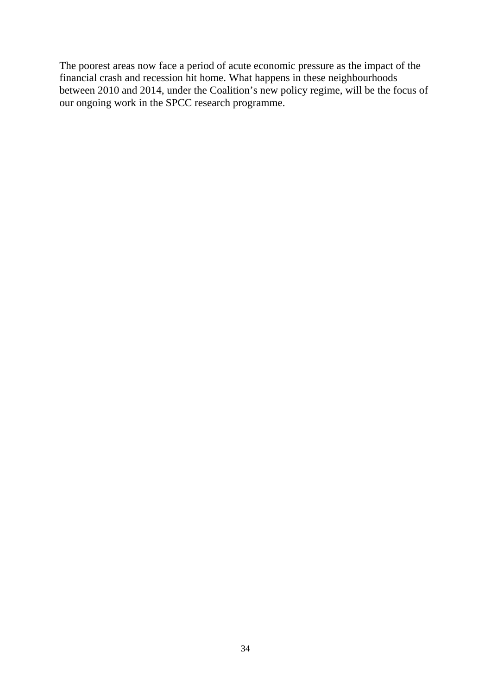The poorest areas now face a period of acute economic pressure as the impact of the financial crash and recession hit home. What happens in these neighbourhoods between 2010 and 2014, under the Coalition's new policy regime, will be the focus of our ongoing work in the SPCC research programme.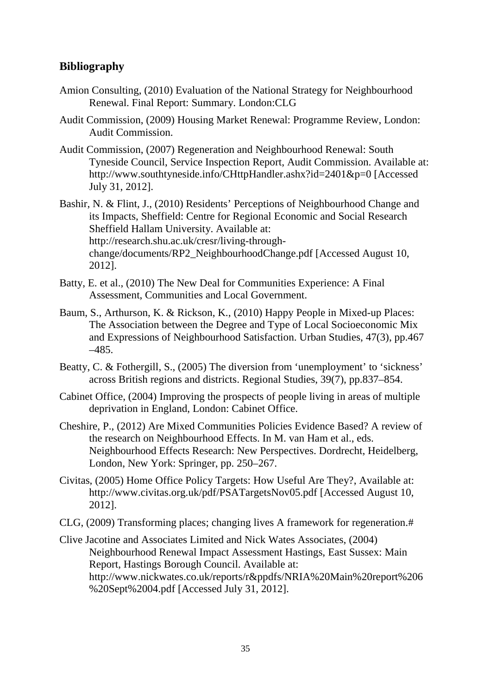# <span id="page-38-0"></span>**Bibliography**

- Amion Consulting, (2010) Evaluation of the National Strategy for Neighbourhood Renewal. Final Report: Summary. London:CLG
- Audit Commission, (2009) Housing Market Renewal: Programme Review, London: Audit Commission.
- Audit Commission, (2007) Regeneration and Neighbourhood Renewal: South Tyneside Council, Service Inspection Report, Audit Commission. Available at: http://www.southtyneside.info/CHttpHandler.ashx?id=2401&p=0 [Accessed July 31, 2012].

Bashir, N. & Flint, J., (2010) Residents' Perceptions of Neighbourhood Change and its Impacts, Sheffield: Centre for Regional Economic and Social Research Sheffield Hallam University. Available at: http://research.shu.ac.uk/cresr/living-throughchange/documents/RP2\_NeighbourhoodChange.pdf [Accessed August 10, 2012].

- Batty, E. et al., (2010) The New Deal for Communities Experience: A Final Assessment, Communities and Local Government.
- Baum, S., Arthurson, K. & Rickson, K., (2010) Happy People in Mixed-up Places: The Association between the Degree and Type of Local Socioeconomic Mix and Expressions of Neighbourhood Satisfaction. Urban Studies, 47(3), pp.467 –485.
- Beatty, C. & Fothergill, S., (2005) The diversion from 'unemployment' to 'sickness' across British regions and districts. Regional Studies, 39(7), pp.837–854.
- Cabinet Office, (2004) Improving the prospects of people living in areas of multiple deprivation in England, London: Cabinet Office.
- Cheshire, P., (2012) Are Mixed Communities Policies Evidence Based? A review of the research on Neighbourhood Effects. In M. van Ham et al., eds. Neighbourhood Effects Research: New Perspectives. Dordrecht, Heidelberg, London, New York: Springer, pp. 250–267.
- Civitas, (2005) Home Office Policy Targets: How Useful Are They?, Available at: http://www.civitas.org.uk/pdf/PSATargetsNov05.pdf [Accessed August 10, 2012].
- CLG, (2009) Transforming places; changing lives A framework for regeneration.#
- Clive Jacotine and Associates Limited and Nick Wates Associates, (2004) Neighbourhood Renewal Impact Assessment Hastings, East Sussex: Main Report, Hastings Borough Council. Available at: http://www.nickwates.co.uk/reports/r&ppdfs/NRIA%20Main%20report%206 %20Sept%2004.pdf [Accessed July 31, 2012].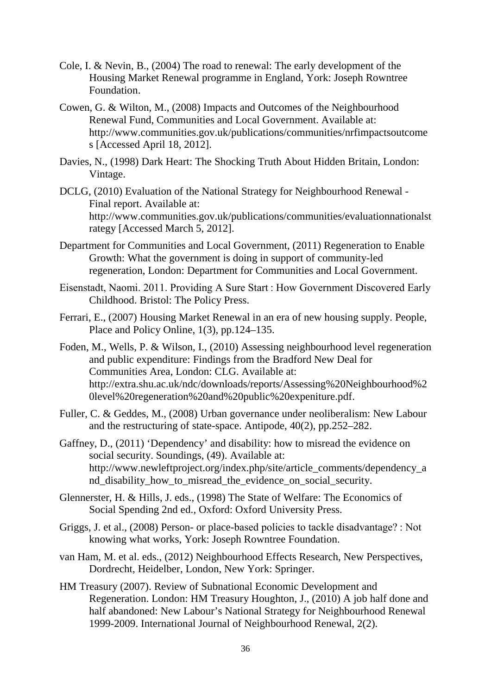- Cole, I. & Nevin, B., (2004) The road to renewal: The early development of the Housing Market Renewal programme in England, York: Joseph Rowntree Foundation.
- Cowen, G. & Wilton, M., (2008) Impacts and Outcomes of the Neighbourhood Renewal Fund, Communities and Local Government. Available at: http://www.communities.gov.uk/publications/communities/nrfimpactsoutcome s [Accessed April 18, 2012].
- Davies, N., (1998) Dark Heart: The Shocking Truth About Hidden Britain, London: Vintage.
- DCLG, (2010) Evaluation of the National Strategy for Neighbourhood Renewal Final report. Available at: http://www.communities.gov.uk/publications/communities/evaluationnationalst rategy [Accessed March 5, 2012].
- Department for Communities and Local Government, (2011) Regeneration to Enable Growth: What the government is doing in support of community-led regeneration, London: Department for Communities and Local Government.
- Eisenstadt, Naomi. 2011. Providing A Sure Start : How Government Discovered Early Childhood. Bristol: The Policy Press.
- Ferrari, E., (2007) Housing Market Renewal in an era of new housing supply. People, Place and Policy Online, 1(3), pp.124–135.
- Foden, M., Wells, P. & Wilson, I., (2010) Assessing neighbourhood level regeneration and public expenditure: Findings from the Bradford New Deal for Communities Area, London: CLG. Available at: http://extra.shu.ac.uk/ndc/downloads/reports/Assessing%20Neighbourhood%2 0level%20regeneration%20and%20public%20expeniture.pdf.
- Fuller, C. & Geddes, M., (2008) Urban governance under neoliberalism: New Labour and the restructuring of state-space. Antipode, 40(2), pp.252–282.
- Gaffney, D., (2011) 'Dependency' and disability: how to misread the evidence on social security. Soundings, (49). Available at: http://www.newleftproject.org/index.php/site/article\_comments/dependency\_a nd\_disability\_how\_to\_misread\_the\_evidence\_on\_social\_security.
- Glennerster, H. & Hills, J. eds., (1998) The State of Welfare: The Economics of Social Spending 2nd ed., Oxford: Oxford University Press.
- Griggs, J. et al., (2008) Person- or place-based policies to tackle disadvantage? : Not knowing what works, York: Joseph Rowntree Foundation.
- van Ham, M. et al. eds., (2012) Neighbourhood Effects Research, New Perspectives, Dordrecht, Heidelber, London, New York: Springer.
- HM Treasury (2007). Review of Subnational Economic Development and Regeneration. London: HM Treasury Houghton, J., (2010) A job half done and half abandoned: New Labour's National Strategy for Neighbourhood Renewal 1999-2009. International Journal of Neighbourhood Renewal, 2(2).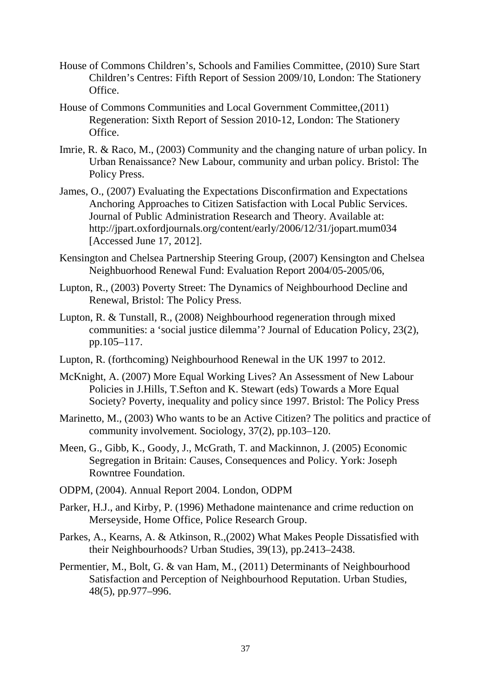- House of Commons Children's, Schools and Families Committee, (2010) Sure Start Children's Centres: Fifth Report of Session 2009/10, London: The Stationery Office.
- House of Commons Communities and Local Government Committee,(2011) Regeneration: Sixth Report of Session 2010-12, London: The Stationery Office.
- Imrie, R. & Raco, M., (2003) Community and the changing nature of urban policy. In Urban Renaissance? New Labour, community and urban policy. Bristol: The Policy Press.
- James, O., (2007) Evaluating the Expectations Disconfirmation and Expectations Anchoring Approaches to Citizen Satisfaction with Local Public Services. Journal of Public Administration Research and Theory. Available at: http://jpart.oxfordjournals.org/content/early/2006/12/31/jopart.mum034 [Accessed June 17, 2012].
- Kensington and Chelsea Partnership Steering Group, (2007) Kensington and Chelsea Neighbuorhood Renewal Fund: Evaluation Report 2004/05-2005/06,
- Lupton, R., (2003) Poverty Street: The Dynamics of Neighbourhood Decline and Renewal, Bristol: The Policy Press.
- Lupton, R. & Tunstall, R., (2008) Neighbourhood regeneration through mixed communities: a 'social justice dilemma'? Journal of Education Policy, 23(2), pp.105–117.
- Lupton, R. (forthcoming) Neighbourhood Renewal in the UK 1997 to 2012.
- McKnight, A. (2007) More Equal Working Lives? An Assessment of New Labour Policies in J.Hills, T.Sefton and K. Stewart (eds) Towards a More Equal Society? Poverty, inequality and policy since 1997. Bristol: The Policy Press
- Marinetto, M., (2003) Who wants to be an Active Citizen? The politics and practice of community involvement. Sociology, 37(2), pp.103–120.
- Meen, G., Gibb, K., Goody, J., McGrath, T. and Mackinnon, J. (2005) Economic Segregation in Britain: Causes, Consequences and Policy. York: Joseph Rowntree Foundation.
- ODPM, (2004). Annual Report 2004. London, ODPM
- Parker, H.J., and Kirby, P. (1996) Methadone maintenance and crime reduction on Merseyside, Home Office, Police Research Group.
- Parkes, A., Kearns, A. & Atkinson, R.,(2002) What Makes People Dissatisfied with their Neighbourhoods? Urban Studies, 39(13), pp.2413–2438.
- Permentier, M., Bolt, G. & van Ham, M., (2011) Determinants of Neighbourhood Satisfaction and Perception of Neighbourhood Reputation. Urban Studies, 48(5), pp.977–996.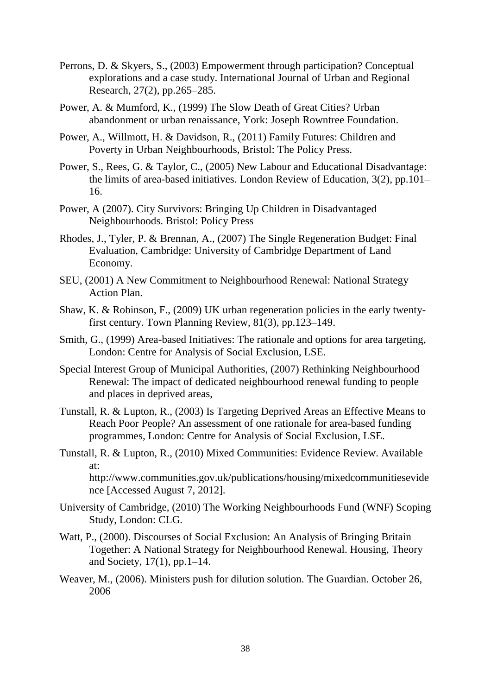- Perrons, D. & Skyers, S., (2003) Empowerment through participation? Conceptual explorations and a case study. International Journal of Urban and Regional Research, 27(2), pp.265–285.
- Power, A. & Mumford, K., (1999) The Slow Death of Great Cities? Urban abandonment or urban renaissance, York: Joseph Rowntree Foundation.
- Power, A., Willmott, H. & Davidson, R., (2011) Family Futures: Children and Poverty in Urban Neighbourhoods, Bristol: The Policy Press.
- Power, S., Rees, G. & Taylor, C., (2005) New Labour and Educational Disadvantage: the limits of area-based initiatives. London Review of Education, 3(2), pp.101– 16.
- Power, A (2007). City Survivors: Bringing Up Children in Disadvantaged Neighbourhoods. Bristol: Policy Press
- Rhodes, J., Tyler, P. & Brennan, A., (2007) The Single Regeneration Budget: Final Evaluation, Cambridge: University of Cambridge Department of Land Economy.
- SEU, (2001) A New Commitment to Neighbourhood Renewal: National Strategy Action Plan.
- Shaw, K. & Robinson, F., (2009) UK urban regeneration policies in the early twentyfirst century. Town Planning Review, 81(3), pp.123–149.
- Smith, G., (1999) Area-based Initiatives: The rationale and options for area targeting, London: Centre for Analysis of Social Exclusion, LSE.
- Special Interest Group of Municipal Authorities, (2007) Rethinking Neighbourhood Renewal: The impact of dedicated neighbourhood renewal funding to people and places in deprived areas,
- Tunstall, R. & Lupton, R., (2003) Is Targeting Deprived Areas an Effective Means to Reach Poor People? An assessment of one rationale for area-based funding programmes, London: Centre for Analysis of Social Exclusion, LSE.
- Tunstall, R. & Lupton, R., (2010) Mixed Communities: Evidence Review. Available at: http://www.communities.gov.uk/publications/housing/mixedcommunitiesevide

nce [Accessed August 7, 2012].

- University of Cambridge, (2010) The Working Neighbourhoods Fund (WNF) Scoping Study, London: CLG.
- Watt, P., (2000). Discourses of Social Exclusion: An Analysis of Bringing Britain Together: A National Strategy for Neighbourhood Renewal. Housing, Theory and Society, 17(1), pp.1–14.
- Weaver, M., (2006). Ministers push for dilution solution. The Guardian. October 26, 2006